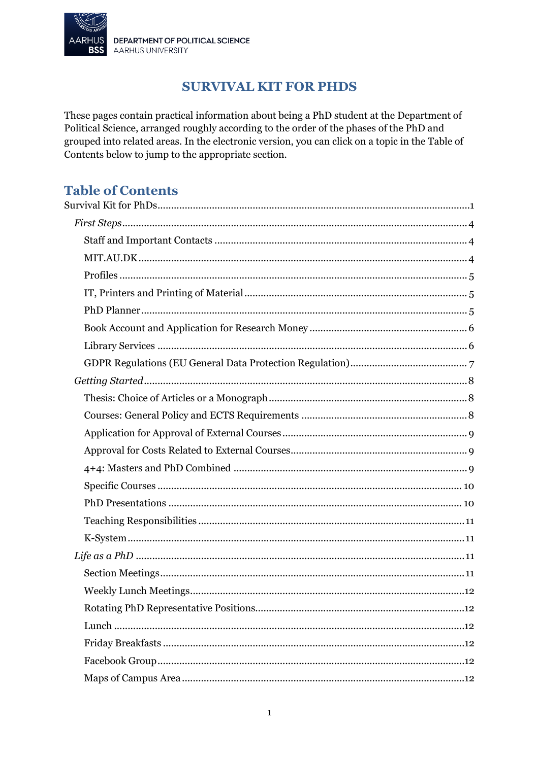

# **SURVIVAL KIT FOR PHDS**

<span id="page-0-0"></span>These pages contain practical information about being a PhD student at the Department of Political Science, arranged roughly according to the order of the phases of the PhD and grouped into related areas. In the electronic version, you can click on a topic in the Table of Contents below to jump to the appropriate section.

# **Table of Contents**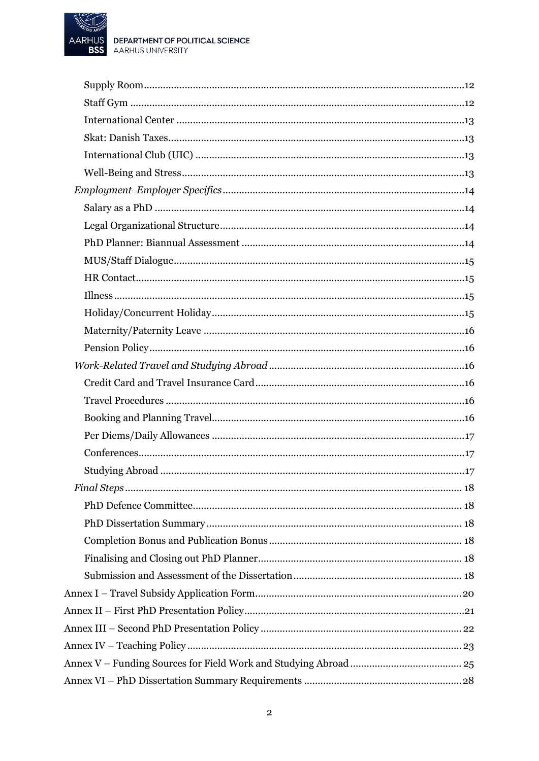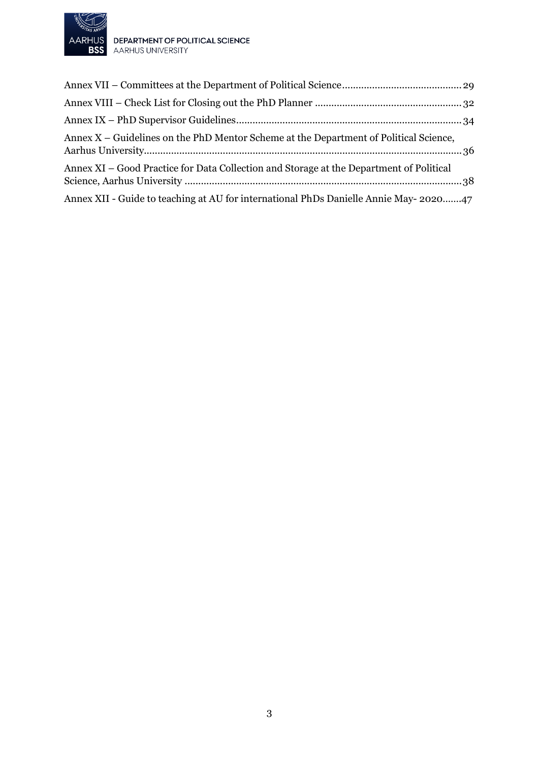

AARHUS DEPARTMENT OF POLITICAL SCIENCE<br>BSS AARHUS UNIVERSITY

| Annex X – Guidelines on the PhD Mentor Scheme at the Department of Political Science,   |  |
|-----------------------------------------------------------------------------------------|--|
| Annex XI – Good Practice for Data Collection and Storage at the Department of Political |  |
| Annex XII - Guide to teaching at AU for international PhDs Danielle Annie May-202047    |  |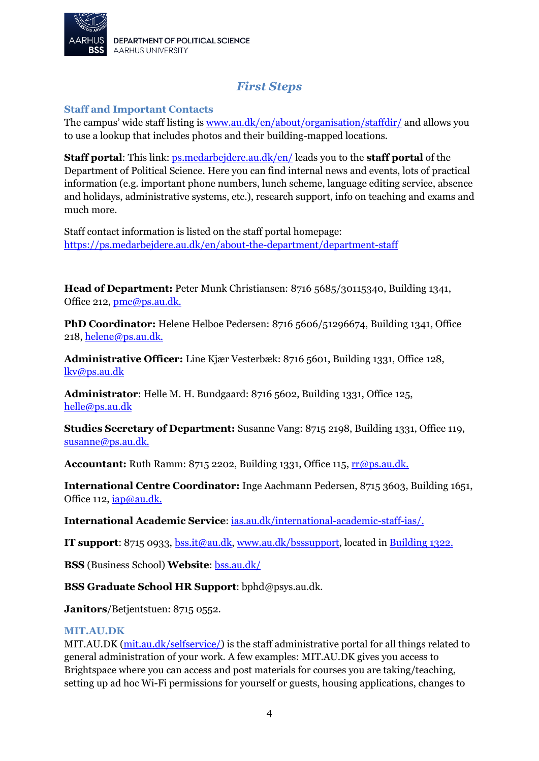

# *First Steps*

#### <span id="page-3-1"></span><span id="page-3-0"></span>**Staff and Important Contacts**

The campus' wide staff listing is [www.au.dk/en/about/organisation/staffdir/](http://www.au.dk/en/about/organisation/staffdir/) and allows you to use a lookup that includes photos and their building-mapped locations.

**Staff portal:** This link: **[ps.medarbejdere.au.dk/en/](http://ps.medarbejdere.au.dk/en/)** leads you to the **staff portal** of the Department of Political Science. Here you can find internal news and events, lots of practical information (e.g. important phone numbers, lunch scheme, language editing service, absence and holidays, administrative systems, etc.), research support, info on teaching and exams and much more.

Staff contact information is listed on the staff portal homepage: <https://ps.medarbejdere.au.dk/en/about-the-department/department-staff>

**Head of Department:** Peter Munk Christiansen: 8716 5685/30115340, Building 1341, Office 212, [pmc@ps.au.dk.](mailto:pmc@ps.au.dk)

**PhD Coordinator:** Helene Helboe Pedersen: 8716 5606/51296674, Building 1341, Office 218, [helene@ps.au.dk.](mailto:helene@ps.au.dk)

**Administrative Officer:** Line Kjær Vesterbæk: 8716 5601, Building 1331, Office 128, [lkv@ps.au.dk](mailto:lkv@ps.au.dk)

**Administrator**: Helle M. H. Bundgaard: 8716 5602, Building 1331, Office 125, [helle@ps.au.dk](mailto:helle@ps.au.dk)

**Studies Secretary of Department:** Susanne Vang: 8715 2198, Building 1331, Office 119, [susanne@ps.au.dk.](mailto:susanne@ps.au.dk)

**Accountant:** Ruth Ramm: 8715 2202, Building 1331, Office 115, **rr@ps.au.dk.** 

**International Centre Coordinator:** Inge Aachmann Pedersen, 8715 3603, Building 1651, Office 112[, iap@au.dk.](mailto:iap@au.dk)

**International Academic Service**: [ias.au.dk/international-academic-staff-ias/.](http://ias.au.dk/international-academic-staff-ias/)

**IT support**: 8715 0933, [bss.it@au.dk,](mailto:bss.it@au.dk) [www.au.dk/bsssupport,](http://www.au.dk/bsssupport) located in [Building 1322.](http://www.au.dk/om/organisation/find-au/bygningskort/?os=288)

**BSS** (Business School) **Website**: [bss.au.dk/](http://bss.au.dk/)

**BSS Graduate School HR Support**: bphd@psys.au.dk.

**Janitors**/Betjentstuen: 8715 0552.

#### <span id="page-3-2"></span>**MIT.AU.DK**

MIT.AU.DK [\(mit.au.dk/selfservice/\)](https://mit.au.dk/selfservice/) is the staff administrative portal for all things related to general administration of your work. A few examples: MIT.AU.DK gives you access to Brightspace where you can access and post materials for courses you are taking/teaching, setting up ad hoc Wi-Fi permissions for yourself or guests, housing applications, changes to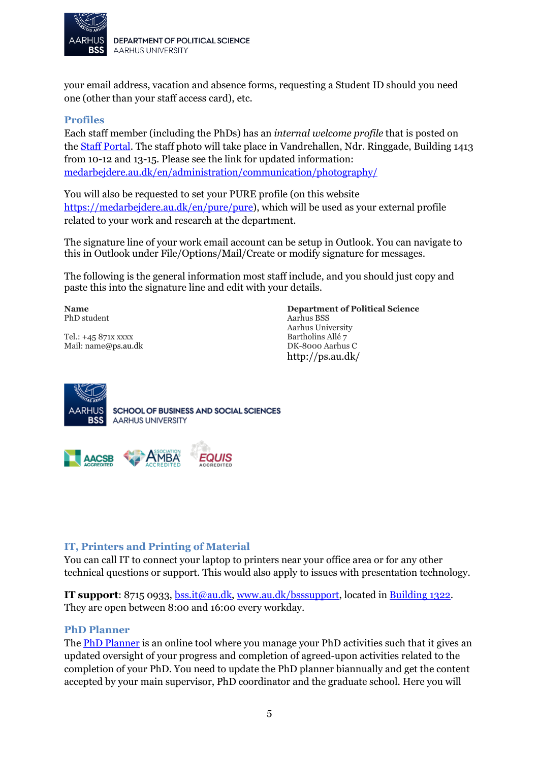

your email address, vacation and absence forms, requesting a Student ID should you need one (other than your staff access card), etc.

#### <span id="page-4-0"></span>**Profiles**

Each staff member (including the PhDs) has an *internal welcome profile* that is posted on the [Staff Portal.](https://ps.medarbejdere.au.dk/en/internal-news) The staff photo will take place in Vandrehallen, Ndr. Ringgade, Building 1413 from 10-12 and 13-15. Please see the link for updated information: [medarbejdere.au.dk/en/administration/communication/photography/](https://medarbejdere.au.dk/en/administration/communication/photography/)

You will also be requested to set your PURE profile (on this website [https://medarbejdere.au.dk/en/pure/pure\)](https://medarbejdere.au.dk/en/pure/pure), which will be used as your external profile related to your work and research at the department.

The signature line of your work email account can be setup in Outlook. You can navigate to this in Outlook under File/Options/Mail/Create or modify signature for messages.

The following is the general information most staff include, and you should just copy and paste this into the signature line and edit with your details.

**Name** PhD student

Tel.: +45 871x xxxx Mail: name@ps.au.dk **Department of Political Science** Aarhus BSS Aarhus University Bartholins Allé 7 DK-8000 Aarhus C http://ps.au.dk/





#### <span id="page-4-1"></span>**IT, Printers and Printing of Material**

You can call IT to connect your laptop to printers near your office area or for any other technical questions or support. This would also apply to issues with presentation technology.

**IT support**: 8715 0933, [bss.it@au.dk,](mailto:bss.it@au.dk) [www.au.dk/bsssupport,](http://www.au.dk/bsssupport) located in [Building 1322.](http://www.au.dk/om/organisation/find-au/bygningskort/?os=288) They are open between 8:00 and 16:00 every workday.

#### <span id="page-4-2"></span>**PhD Planner**

The **PhD Planner** is an online tool where you manage your PhD activities such that it gives an updated oversight of your progress and completion of agreed-upon activities related to the completion of your PhD. You need to update the PhD planner biannually and get the content accepted by your main supervisor, PhD coordinator and the graduate school. Here you will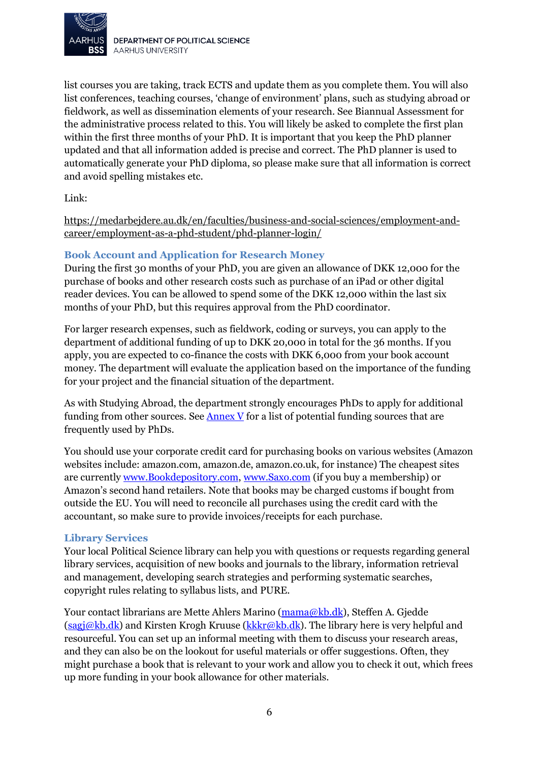

list courses you are taking, track ECTS and update them as you complete them. You will also list conferences, teaching courses, 'change of environment' plans, such as studying abroad or fieldwork, as well as dissemination elements of your research. See Biannual Assessment for the administrative process related to this. You will likely be asked to complete the first plan within the first three months of your PhD. It is important that you keep the PhD planner updated and that all information added is precise and correct. The PhD planner is used to automatically generate your PhD diploma, so please make sure that all information is correct and avoid spelling mistakes etc.

Link:

<span id="page-5-0"></span>[https://medarbejdere.au.dk/en/faculties/business-and-social-sciences/employment-and](https://medarbejdere.au.dk/en/faculties/business-and-social-sciences/employment-and-career/employment-as-a-phd-student/phd-planner-login/)[career/employment-as-a-phd-student/phd-planner-login/](https://medarbejdere.au.dk/en/faculties/business-and-social-sciences/employment-and-career/employment-as-a-phd-student/phd-planner-login/)

#### **Book Account and Application for Research Money**

During the first 30 months of your PhD, you are given an allowance of DKK 12,000 for the purchase of books and other research costs such as purchase of an iPad or other digital reader devices. You can be allowed to spend some of the DKK 12,000 within the last six months of your PhD, but this requires approval from the PhD coordinator.

For larger research expenses, such as fieldwork, coding or surveys, you can apply to the department of additional funding of up to DKK 20,000 in total for the 36 months. If you apply, you are expected to co-finance the costs with DKK 6,000 from your book account money. The department will evaluate the application based on the importance of the funding for your project and the financial situation of the department.

As with Studying Abroad, the department strongly encourages PhDs to apply for additional funding from other sources. See [Annex V](#page-24-0) for a list of potential funding sources that are frequently used by PhDs.

You should use your corporate credit card for purchasing books on various websites (Amazon websites include: amazon.com, amazon.de, amazon.co.uk, for instance) The cheapest sites are currently [www.Bookdepository.com,](http://www.bookdepository.com/) [www.Saxo.com](http://www.saxo.com/) (if you buy a membership) or Amazon's second hand retailers. Note that books may be charged customs if bought from outside the EU. You will need to reconcile all purchases using the credit card with the accountant, so make sure to provide invoices/receipts for each purchase.

#### <span id="page-5-1"></span>**Library Services**

Your local Political Science library can help you with questions or requests regarding general library services, acquisition of new books and journals to the library, information retrieval and management, developing search strategies and performing systematic searches, copyright rules relating to syllabus lists, and PURE.

Your contact librarians are Mette Ahlers Marino [\(mama@kb.dk\)](mailto:mama@kb.dk), Steffen A. Gjedde  $(sagi@kb.dk)$  and Kirsten Krogh Kruuse [\(kkkr@kb.dk\)](mailto:kkkr@kb.dk). The library here is very helpful and resourceful. You can set up an informal meeting with them to discuss your research areas, and they can also be on the lookout for useful materials or offer suggestions. Often, they might purchase a book that is relevant to your work and allow you to check it out, which frees up more funding in your book allowance for other materials.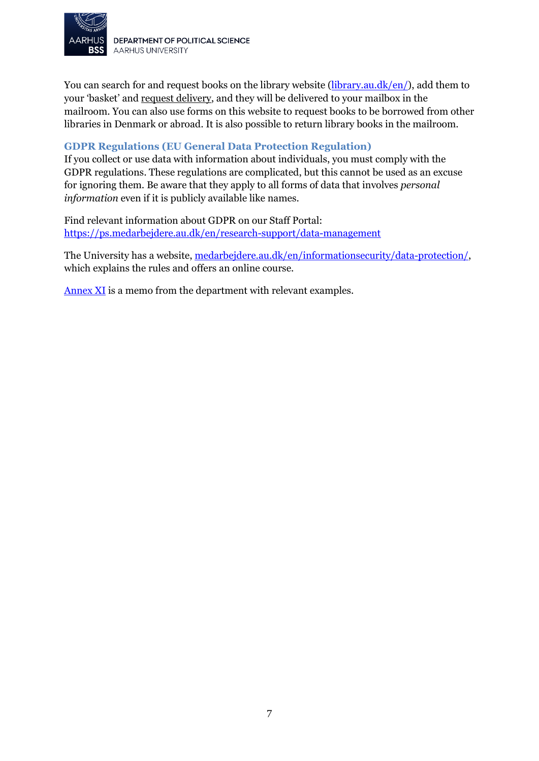

You can search for and request books on the library website [\(library.au.dk/en/\)](http://library.au.dk/en/), add them to your 'basket' and request delivery, and they will be delivered to your mailbox in the mailroom. You can also use forms on this website to request books to be borrowed from other libraries in Denmark or abroad. It is also possible to return library books in the mailroom.

#### <span id="page-6-0"></span>**GDPR Regulations (EU General Data Protection Regulation)**

If you collect or use data with information about individuals, you must comply with the GDPR regulations. These regulations are complicated, but this cannot be used as an excuse for ignoring them. Be aware that they apply to all forms of data that involves *personal information* even if it is publicly available like names.

Find relevant information about GDPR on our Staff Portal: <https://ps.medarbejdere.au.dk/en/research-support/data-management>

The University has a website, [medarbejdere.au.dk/en/informationsecurity/data-protection/,](https://medarbejdere.au.dk/en/informationsecurity/data-protection/) which explains the rules and offers an online course.

[Annex XI](#page-37-0) is a memo from the department with relevant examples.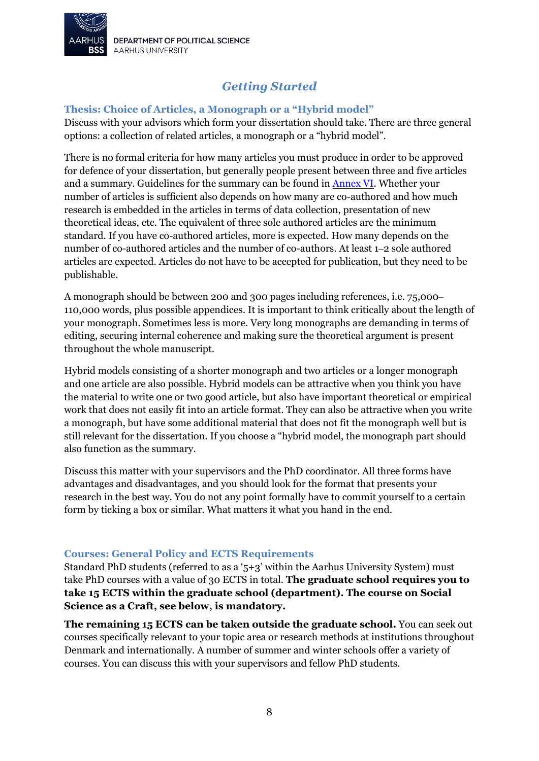

# *Getting Started*

#### <span id="page-7-1"></span><span id="page-7-0"></span>**Thesis: Choice of Articles, a Monograph or a "Hybrid model"**

Discuss with your advisors which form your dissertation should take. There are three general options: a collection of related articles, a monograph or a "hybrid model".

There is no formal criteria for how many articles you must produce in order to be approved for defence of your dissertation, but generally people present between three and five articles and a summary. Guidelines for the summary can be found in [Annex](#page-27-0) VI. Whether your number of articles is sufficient also depends on how many are co-authored and how much research is embedded in the articles in terms of data collection, presentation of new theoretical ideas, etc. The equivalent of three sole authored articles are the minimum standard. If you have co-authored articles, more is expected. How many depends on the number of co-authored articles and the number of co-authors. At least 1–2 sole authored articles are expected. Articles do not have to be accepted for publication, but they need to be publishable.

A monograph should be between 200 and 300 pages including references, i.e. 75,000– 110,000 words, plus possible appendices. It is important to think critically about the length of your monograph. Sometimes less is more. Very long monographs are demanding in terms of editing, securing internal coherence and making sure the theoretical argument is present throughout the whole manuscript.

Hybrid models consisting of a shorter monograph and two articles or a longer monograph and one article are also possible. Hybrid models can be attractive when you think you have the material to write one or two good article, but also have important theoretical or empirical work that does not easily fit into an article format. They can also be attractive when you write a monograph, but have some additional material that does not fit the monograph well but is still relevant for the dissertation. If you choose a "hybrid model, the monograph part should also function as the summary.

Discuss this matter with your supervisors and the PhD coordinator. All three forms have advantages and disadvantages, and you should look for the format that presents your research in the best way. You do not any point formally have to commit yourself to a certain form by ticking a box or similar. What matters it what you hand in the end.

#### <span id="page-7-2"></span>**Courses: General Policy and ECTS Requirements**

Standard PhD students (referred to as a ' $5+3$ ' within the Aarhus University System) must take PhD courses with a value of 30 ECTS in total. **The graduate school requires you to take 15 ECTS within the graduate school (department). The course on Social Science as a Craft, see below, is mandatory.** 

**The remaining 15 ECTS can be taken outside the graduate school.** You can seek out courses specifically relevant to your topic area or research methods at institutions throughout Denmark and internationally. A number of summer and winter schools offer a variety of courses. You can discuss this with your supervisors and fellow PhD students.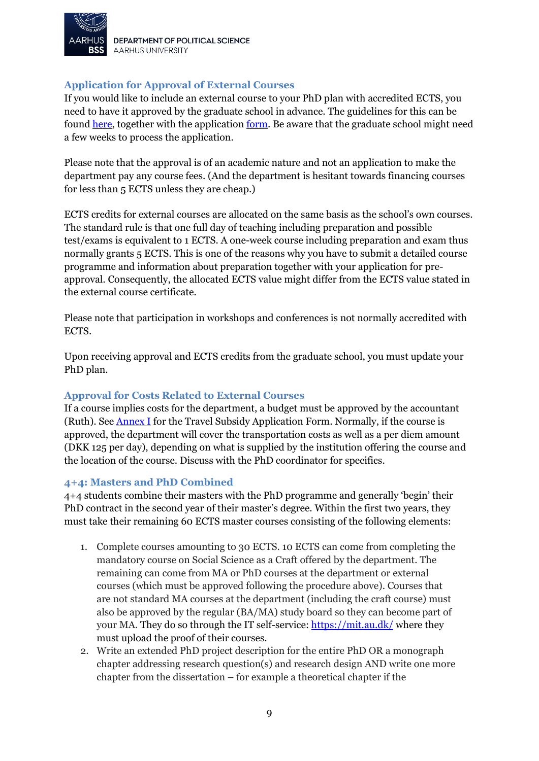

DEPARTMENT OF POLITICAL SCIENCE **AARHUS UNIVERSITY** 

#### <span id="page-8-0"></span>**Application for Approval of External Courses**

If you would like to include an external course to your PhD plan with accredited ECTS, you need to have it approved by the graduate school in advance. The guidelines for this can be found [here,](https://medarbejdere.au.dk/fileadmin/www.medarbejdere.au.dk/hovedomraader/Business_and_Social_Sciences/HR_paa_BS/PhD/Guidelines_for_preapproval_of_External_courses.pdf) together with the application [form.](https://auinstallation40.cs.au.dk/fileadmin/www.medarbejdere.au.dk/hovedomraader/Business_and_Social_Sciences/HR_paa_BS/PhD/Application_for_preapproval_of_external_PhD_courses1.pdf) Be aware that the graduate school might need a few weeks to process the application.

Please note that the approval is of an academic nature and not an application to make the department pay any course fees. (And the department is hesitant towards financing courses for less than 5 ECTS unless they are cheap.)

ECTS credits for external courses are allocated on the same basis as the school's own courses. The standard rule is that one full day of teaching including preparation and possible test/exams is equivalent to 1 ECTS. A one-week course including preparation and exam thus normally grants 5 ECTS. This is one of the reasons why you have to submit a detailed course programme and information about preparation together with your application for preapproval. Consequently, the allocated ECTS value might differ from the ECTS value stated in the external course certificate.

Please note that participation in workshops and conferences is not normally accredited with ECTS.

Upon receiving approval and ECTS credits from the graduate school, you must update your PhD plan.

#### <span id="page-8-1"></span>**Approval for Costs Related to External Courses**

If a course implies costs for the department, a budget must be approved by the accountant (Ruth). See [Annex I](#page-19-0) for the Travel Subsidy Application Form. Normally, if the course is approved, the department will cover the transportation costs as well as a per diem amount (DKK 125 per day), depending on what is supplied by the institution offering the course and the location of the course. Discuss with the PhD coordinator for specifics.

#### <span id="page-8-2"></span>**4+4: Masters and PhD Combined**

4+4 students combine their masters with the PhD programme and generally 'begin' their PhD contract in the second year of their master's degree. Within the first two years, they must take their remaining 60 ECTS master courses consisting of the following elements:

- 1. Complete courses amounting to 30 ECTS. 10 ECTS can come from completing the mandatory course on Social Science as a Craft offered by the department. The remaining can come from MA or PhD courses at the department or external courses (which must be approved following the procedure above). Courses that are not standard MA courses at the department (including the craft course) must also be approved by the regular (BA/MA) study board so they can become part of your MA. They do so through the IT self-service:<https://mit.au.dk/> where they must upload the proof of their courses.
- 2. Write an extended PhD project description for the entire PhD OR a monograph chapter addressing research question(s) and research design AND write one more chapter from the dissertation – for example a theoretical chapter if the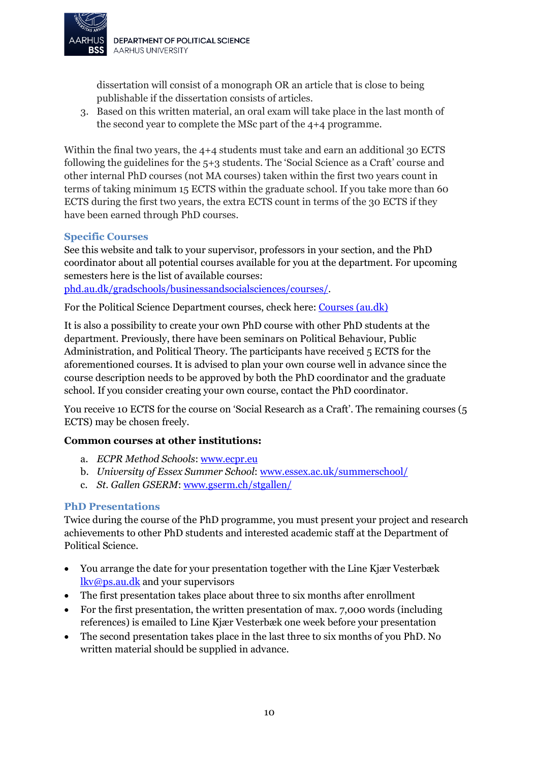

dissertation will consist of a monograph OR an article that is close to being publishable if the dissertation consists of articles.

3. Based on this written material, an oral exam will take place in the last month of the second year to complete the MSc part of the 4+4 programme.

Within the final two years, the 4+4 students must take and earn an additional 30 ECTS following the guidelines for the 5+3 students. The 'Social Science as a Craft' course and other internal PhD courses (not MA courses) taken within the first two years count in terms of taking minimum 15 ECTS within the graduate school. If you take more than 60 ECTS during the first two years, the extra ECTS count in terms of the 30 ECTS if they have been earned through PhD courses.

#### <span id="page-9-0"></span>**Specific Courses**

See this website and talk to your supervisor, professors in your section, and the PhD coordinator about all potential courses available for you at the department. For upcoming semesters here is the list of available courses:

[phd.au.dk/gradschools/businessandsocialsciences/courses/.](http://phd.au.dk/gradschools/businessandsocialsciences/courses/)

For the Political Science Department courses, check here: [Courses \(au.dk\)](https://ps.medarbejdere.au.dk/en/phd-information/courses)

It is also a possibility to create your own PhD course with other PhD students at the department. Previously, there have been seminars on Political Behaviour, Public Administration, and Political Theory. The participants have received 5 ECTS for the aforementioned courses. It is advised to plan your own course well in advance since the course description needs to be approved by both the PhD coordinator and the graduate school. If you consider creating your own course, contact the PhD coordinator.

You receive 10 ECTS for the course on 'Social Research as a Craft'. The remaining courses (5 ECTS) may be chosen freely.

#### **Common courses at other institutions:**

- a. *ECPR Method Schools*[: www.ecpr.eu](http://www.ecpr.eu/)
- b. *University of Essex Summer School*: [www.essex.ac.uk/summerschool/](http://www.essex.ac.uk/summerschool/)
- c. *St. Gallen GSERM*[: www.gserm.ch/stgallen/](http://www.gserm.ch/stgallen/)

#### <span id="page-9-1"></span>**PhD Presentations**

Twice during the course of the PhD programme, you must present your project and research achievements to other PhD students and interested academic staff at the Department of Political Science.

- You arrange the date for your presentation together with the Line Kjær Vesterbæk [lkv@ps.au.dk](mailto:lkv@ps.au.dk) and your supervisors
- The first presentation takes place about three to six months after enrollment
- For the first presentation, the written presentation of max. 7,000 words (including references) is emailed to Line Kjær Vesterbæk one week before your presentation
- The second presentation takes place in the last three to six months of you PhD. No written material should be supplied in advance.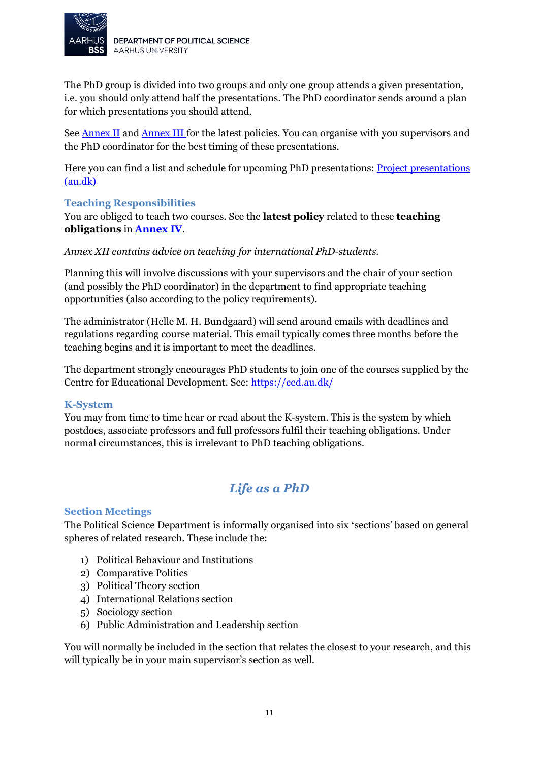

The PhD group is divided into two groups and only one group attends a given presentation, i.e. you should only attend half the presentations. The PhD coordinator sends around a plan for which presentations you should attend.

See [Annex II](#page-20-0) and [Annex III](#page-21-0) for the latest policies. You can organise with you supervisors and the PhD coordinator for the best timing of these presentations.

Here you can find a list and schedule for upcoming PhD presentations: **Project presentations** [\(au.dk\)](https://ps.medarbejdere.au.dk/en/phd-information/project-presentations/)

#### <span id="page-10-0"></span>**Teaching Responsibilities**

You are obliged to teach two courses. See the **latest policy** related to these **teaching obligations** in **[Annex IV](#page-22-0)**.

*Annex XII contains advice on teaching for international PhD-students.*

Planning this will involve discussions with your supervisors and the chair of your section (and possibly the PhD coordinator) in the department to find appropriate teaching opportunities (also according to the policy requirements).

The administrator (Helle M. H. Bundgaard) will send around emails with deadlines and regulations regarding course material. This email typically comes three months before the teaching begins and it is important to meet the deadlines.

The department strongly encourages PhD students to join one of the courses supplied by the Centre for Educational Development. See:<https://ced.au.dk/>

#### <span id="page-10-1"></span>**K-System**

You may from time to time hear or read about the K-system. This is the system by which postdocs, associate professors and full professors fulfil their teaching obligations. Under normal circumstances, this is irrelevant to PhD teaching obligations.

### *Life as a PhD*

#### <span id="page-10-3"></span><span id="page-10-2"></span>**Section Meetings**

The Political Science Department is informally organised into six 'sections' based on general spheres of related research. These include the:

- 1) Political Behaviour and Institutions
- 2) Comparative Politics
- 3) Political Theory section
- 4) International Relations section
- 5) Sociology section
- 6) Public Administration and Leadership section

You will normally be included in the section that relates the closest to your research, and this will typically be in your main supervisor's section as well.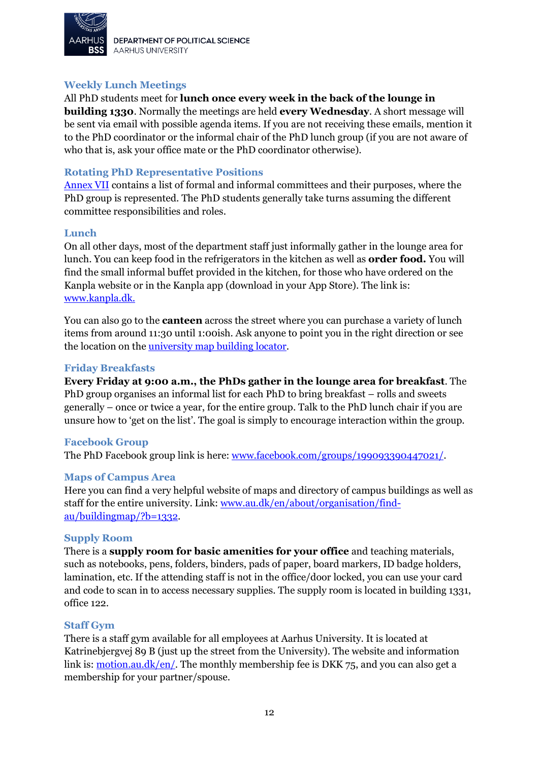

DEPARTMENT OF POLITICAL SCIENCE **AARHUS UNIVERSITY** 

#### <span id="page-11-0"></span>**Weekly Lunch Meetings**

#### All PhD students meet for **lunch once every week in the back of the lounge in**

**building 1330**. Normally the meetings are held **every Wednesday**. A short message will be sent via email with possible agenda items. If you are not receiving these emails, mention it to the PhD coordinator or the informal chair of the PhD lunch group (if you are not aware of who that is, ask your office mate or the PhD coordinator otherwise).

#### <span id="page-11-1"></span>**Rotating PhD Representative Positions**

[Annex VII](#page-28-0) contains a list of formal and informal committees and their purposes, where the PhD group is represented. The PhD students generally take turns assuming the different committee responsibilities and roles.

#### <span id="page-11-2"></span>**Lunch**

On all other days, most of the department staff just informally gather in the lounge area for lunch. You can keep food in the refrigerators in the kitchen as well as **order food.** You will find the small informal buffet provided in the kitchen, for those who have ordered on the Kanpla website or in the Kanpla app (download in your App Store). The link is: [www.kanpla.dk.](http://www.kanpla.dk/)

You can also go to the **canteen** across the street where you can purchase a variety of lunch items from around 11:30 until 1:00ish. Ask anyone to point you in the right direction or see the location on the <u>university map building locator</u>.

#### <span id="page-11-3"></span>**Friday Breakfasts**

**Every Friday at 9:00 a.m., the PhDs gather in the lounge area for breakfast**. The PhD group organises an informal list for each PhD to bring breakfast – rolls and sweets generally – once or twice a year, for the entire group. Talk to the PhD lunch chair if you are unsure how to 'get on the list'. The goal is simply to encourage interaction within the group.

#### <span id="page-11-4"></span>**Facebook Group**

The PhD Facebook group link is here: [www.facebook.com/groups/199093390447021/.](http://www.facebook.com/groups/199093390447021/)

#### <span id="page-11-5"></span>**Maps of Campus Area**

Here you can find a very helpful website of maps and directory of campus buildings as well as staff for the entire university. Link: [www.au.dk/en/about/organisation/find](http://www.au.dk/en/about/organisation/find-au/buildingmap/?b=1332)[au/buildingmap/?b=1332.](http://www.au.dk/en/about/organisation/find-au/buildingmap/?b=1332)

#### <span id="page-11-6"></span>**Supply Room**

There is a **supply room for basic amenities for your office** and teaching materials, such as notebooks, pens, folders, binders, pads of paper, board markers, ID badge holders, lamination, etc. If the attending staff is not in the office/door locked, you can use your card and code to scan in to access necessary supplies. The supply room is located in building 1331, office 122.

#### <span id="page-11-7"></span>**Staff Gym**

There is a staff gym available for all employees at Aarhus University. It is located at Katrinebjergvej 89 B (just up the street from the University). The website and information link is: <u>motion.au.dk/en/</u>. The monthly membership fee is DKK 75, and you can also get a membership for your partner/spouse.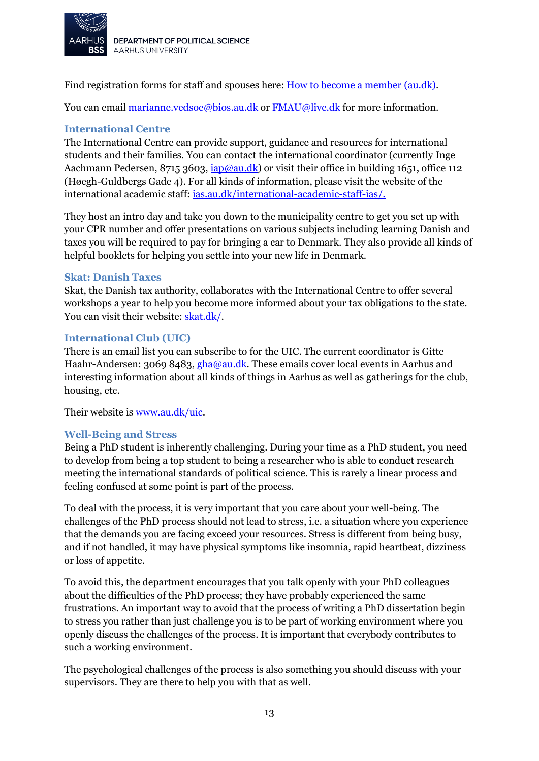

Find registration forms for staff and spouses here[: How to become a member \(au.dk\).](https://motion.au.dk/en/become-a-member/how-to-become-a-member)

You can email [marianne.vedsoe@bios.au.dk](mailto:marianne.vedsoe@bios.au.dk) or [FMAU@live.dk](mailto:FMAU@live.dk) for more information.

#### <span id="page-12-0"></span>**International Centre**

The International Centre can provide support, guidance and resources for international students and their families. You can contact the international coordinator (currently Inge Aachmann Pedersen, 8715 3603, *iap@au.dk*) or visit their office in building 1651, office 112 (Høegh-Guldbergs Gade 4). For all kinds of information, please visit the website of the international academic staff[: ias.au.dk/international-academic-staff-ias/.](http://ias.au.dk/international-academic-staff-ias/)

They host an intro day and take you down to the municipality centre to get you set up with your CPR number and offer presentations on various subjects including learning Danish and taxes you will be required to pay for bringing a car to Denmark. They also provide all kinds of helpful booklets for helping you settle into your new life in Denmark.

#### <span id="page-12-1"></span>**Skat: Danish Taxes**

Skat, the Danish tax authority, collaborates with the International Centre to offer several workshops a year to help you become more informed about your tax obligations to the state. You can visit their website: [skat.dk/.](http://skat.dk/)

#### <span id="page-12-2"></span>**International Club (UIC)**

There is an email list you can subscribe to for the UIC. The current coordinator is Gitte Haahr-Andersen: 3069 8483[, gha@au.dk.](mailto:gha@au.dk) These emails cover local events in Aarhus and interesting information about all kinds of things in Aarhus as well as gatherings for the club, housing, etc.

Their website is [www.au.dk/uic.](http://www.au.dk/uic)

#### <span id="page-12-3"></span>**Well-Being and Stress**

Being a PhD student is inherently challenging. During your time as a PhD student, you need to develop from being a top student to being a researcher who is able to conduct research meeting the international standards of political science. This is rarely a linear process and feeling confused at some point is part of the process.

To deal with the process, it is very important that you care about your well-being. The challenges of the PhD process should not lead to stress, i.e. a situation where you experience that the demands you are facing exceed your resources. Stress is different from being busy, and if not handled, it may have physical symptoms like insomnia, rapid heartbeat, dizziness or loss of appetite.

To avoid this, the department encourages that you talk openly with your PhD colleagues about the difficulties of the PhD process; they have probably experienced the same frustrations. An important way to avoid that the process of writing a PhD dissertation begin to stress you rather than just challenge you is to be part of working environment where you openly discuss the challenges of the process. It is important that everybody contributes to such a working environment.

The psychological challenges of the process is also something you should discuss with your supervisors. They are there to help you with that as well.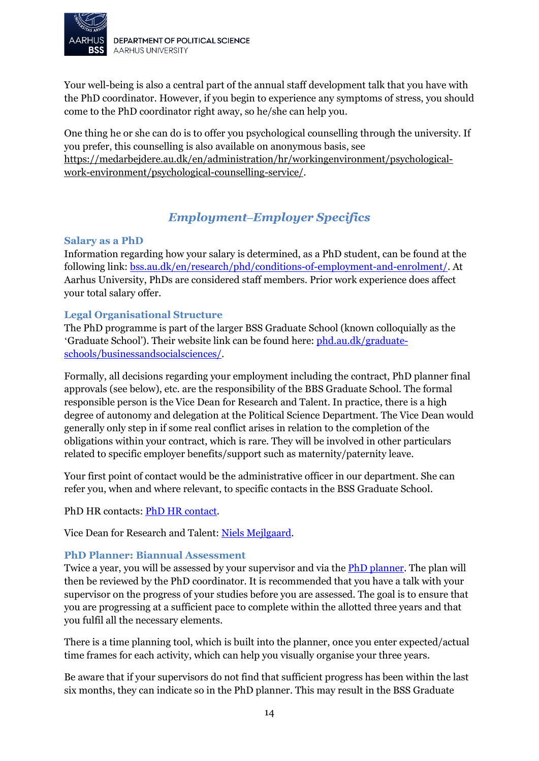

Your well-being is also a central part of the annual staff development talk that you have with the PhD coordinator. However, if you begin to experience any symptoms of stress, you should come to the PhD coordinator right away, so he/she can help you.

One thing he or she can do is to offer you psychological counselling through the university. If you prefer, this counselling is also available on anonymous basis, see [https://medarbejdere.au.dk/en/administration/hr/workingenvironment/psychological](https://medarbejdere.au.dk/en/administration/hr/workingenvironment/psychological-work-environment/psychological-counselling-service/)[work-environment/psychological-counselling-service/.](https://medarbejdere.au.dk/en/administration/hr/workingenvironment/psychological-work-environment/psychological-counselling-service/)

# *Employment‒Employer Specifics*

#### <span id="page-13-1"></span><span id="page-13-0"></span>**Salary as a PhD**

Information regarding how your salary is determined, as a PhD student, can be found at the following link: [bss.au.dk/en/research/phd/conditions-of-employment-and-enrolment/.](https://bss.au.dk/en/research/phd/conditions-of-employment-and-enrolment/) At Aarhus University, PhDs are considered staff members. Prior work experience does affect your total salary offer.

#### <span id="page-13-2"></span>**Legal Organisational Structure**

The PhD programme is part of the larger BSS Graduate School (known colloquially as the 'Graduate School'). Their website link can be found here: [phd.au.dk/graduate](http://phd.au.dk/graduate-schools/businessandsocialsciences/)[schools/businessandsocialsciences/.](http://phd.au.dk/graduate-schools/businessandsocialsciences/)

Formally, all decisions regarding your employment including the contract, PhD planner final approvals (see below), etc. are the responsibility of the BBS Graduate School. The formal responsible person is the Vice Dean for Research and Talent. In practice, there is a high degree of autonomy and delegation at the Political Science Department. The Vice Dean would generally only step in if some real conflict arises in relation to the completion of the obligations within your contract, which is rare. They will be involved in other particulars related to specific employer benefits/support such as maternity/paternity leave.

Your first point of contact would be the administrative officer in our department. She can refer you, when and where relevant, to specific contacts in the BSS Graduate School.

PhD HR contacts: **PhD HR contact**.

Vice Dean for Research and Talent: [Niels Mejlgaard.](https://pure.au.dk/portal/en/persons/niels-mejlgaard(eb473b3a-0f5a-4581-bba9-08f9de939f64).html)

#### <span id="page-13-3"></span>**PhD Planner: Biannual Assessment**

Twice a year, you will be assessed by your supervisor and via th[e PhD planner.](https://medarbejdere.au.dk/en/faculties/business-and-social-sciences/employment-and-career/employment-as-a-phd-student/phd-planner-login/for-phd-students/) The plan will then be reviewed by the PhD coordinator. It is recommended that you have a talk with your supervisor on the progress of your studies before you are assessed. The goal is to ensure that you are progressing at a sufficient pace to complete within the allotted three years and that you fulfil all the necessary elements.

There is a time planning tool, which is built into the planner, once you enter expected/actual time frames for each activity, which can help you visually organise your three years.

Be aware that if your supervisors do not find that sufficient progress has been within the last six months, they can indicate so in the PhD planner. This may result in the BSS Graduate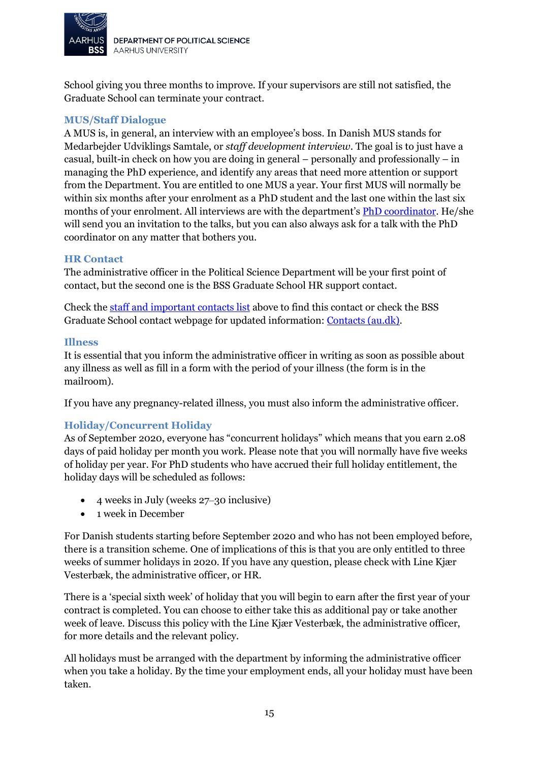

DEPARTMENT OF POLITICAL SCIENCE **AARHUS UNIVERSITY** 

School giving you three months to improve. If your supervisors are still not satisfied, the Graduate School can terminate your contract.

#### <span id="page-14-0"></span>**MUS/Staff Dialogue**

A MUS is, in general, an interview with an employee's boss. In Danish MUS stands for Medarbejder Udviklings Samtale, or *staff development interview*. The goal is to just have a casual, built-in check on how you are doing in general – personally and professionally – in managing the PhD experience, and identify any areas that need more attention or support from the Department. You are entitled to one MUS a year. Your first MUS will normally be within six months after your enrolment as a PhD student and the last one within the last six months of your enrolment. All interviews are with the department'[s PhD coordinator.](#page-3-1) He/she will send you an invitation to the talks, but you can also always ask for a talk with the PhD coordinator on any matter that bothers you.

#### <span id="page-14-1"></span>**HR Contact**

The administrative officer in the Political Science Department will be your first point of contact, but the second one is the BSS Graduate School HR support contact.

Check the [staff and important contacts list](#page-3-1) above to find this contact or check the BSS Graduate School contact webpage for updated information: [Contacts \(au.dk\).](https://bss.au.dk/en/research/phd/contacts/)

#### <span id="page-14-2"></span>**Illness**

It is essential that you inform the administrative officer in writing as soon as possible about any illness as well as fill in a form with the period of your illness (the form is in the mailroom).

If you have any pregnancy-related illness, you must also inform the administrative officer.

#### <span id="page-14-3"></span>**Holiday/Concurrent Holiday**

As of September 2020, everyone has "concurrent holidays" which means that you earn 2.08 days of paid holiday per month you work. Please note that you will normally have five weeks of holiday per year. For PhD students who have accrued their full holiday entitlement, the holiday days will be scheduled as follows:

- 4 weeks in July (weeks 27‒30 inclusive)
- 1 week in December

For Danish students starting before September 2020 and who has not been employed before, there is a transition scheme. One of implications of this is that you are only entitled to three weeks of summer holidays in 2020. If you have any question, please check with Line Kjær Vesterbæk, the administrative officer, or HR.

There is a 'special sixth week' of holiday that you will begin to earn after the first year of your contract is completed. You can choose to either take this as additional pay or take another week of leave. Discuss this policy with the Line Kjær Vesterbæk, the administrative officer, for more details and the relevant policy.

All holidays must be arranged with the department by informing the administrative officer when you take a holiday. By the time your employment ends, all your holiday must have been taken.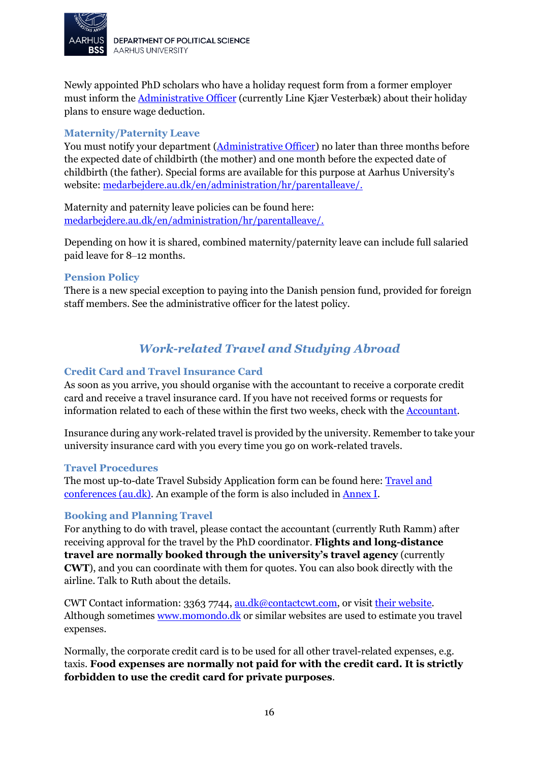

Newly appointed PhD scholars who have a holiday request form from a former employer must inform the [Administrative Officer](#page-3-1) (currently Line Kjær Vesterbæk) about their holiday plans to ensure wage deduction.

#### <span id="page-15-0"></span>**Maternity/Paternity Leave**

You must notify your department [\(Administrative Officer\)](#page-3-1) no later than three months before the expected date of childbirth (the mother) and one month before the expected date of childbirth (the father). Special forms are available for this purpose at Aarhus University's website: [medarbejdere.au.dk/en/administration/hr/parentalleave/.](http://medarbejdere.au.dk/en/administration/hr/parentalleave/)

Maternity and paternity leave policies can be found here: [medarbejdere.au.dk/en/administration/hr/parentalleave/.](http://medarbejdere.au.dk/en/administration/hr/parentalleave/)

Depending on how it is shared, combined maternity/paternity leave can include full salaried paid leave for 8‒12 months.

#### <span id="page-15-1"></span>**Pension Policy**

There is a new special exception to paying into the Danish pension fund, provided for foreign staff members. See the administrative officer for the latest policy.

# *Work-related Travel and Studying Abroad*

#### <span id="page-15-3"></span><span id="page-15-2"></span>**Credit Card and Travel Insurance Card**

As soon as you arrive, you should organise with the accountant to receive a corporate credit card and receive a travel insurance card. If you have not received forms or requests for information related to each of these within the first two weeks, check with the [Accountant.](#page-3-1)

Insurance during any work-related travel is provided by the university. Remember to take your university insurance card with you every time you go on work-related travels.

#### <span id="page-15-4"></span>**Travel Procedures**

The most up-to-date Travel Subsidy Application form can be found here[: Travel and](https://ps.medarbejdere.au.dk/en/travel-and-conferences/)  [conferences \(au.dk\).](https://ps.medarbejdere.au.dk/en/travel-and-conferences/) An example of the form is also included in [Annex](#page-19-0) I.

#### <span id="page-15-5"></span>**Booking and Planning Travel**

For anything to do with travel, please contact the accountant (currently Ruth Ramm) after receiving approval for the travel by the PhD coordinator. **Flights and long-distance travel are normally booked through the university's travel agency** (currently **CWT**), and you can coordinate with them for quotes. You can also book directly with the airline. Talk to Ruth about the details.

CWT Contact information: 3363 7744, [au.dk@contactcwt.com,](mailto:au.dk@contactcwt.com) or visit [their website.](https://www.mycwt.com/) Although sometime[s www.momondo.dk](http://www.momondo.dk/) or similar websites are used to estimate you travel expenses.

Normally, the corporate credit card is to be used for all other travel-related expenses, e.g. taxis. **Food expenses are normally not paid for with the credit card. It is strictly forbidden to use the credit card for private purposes***.*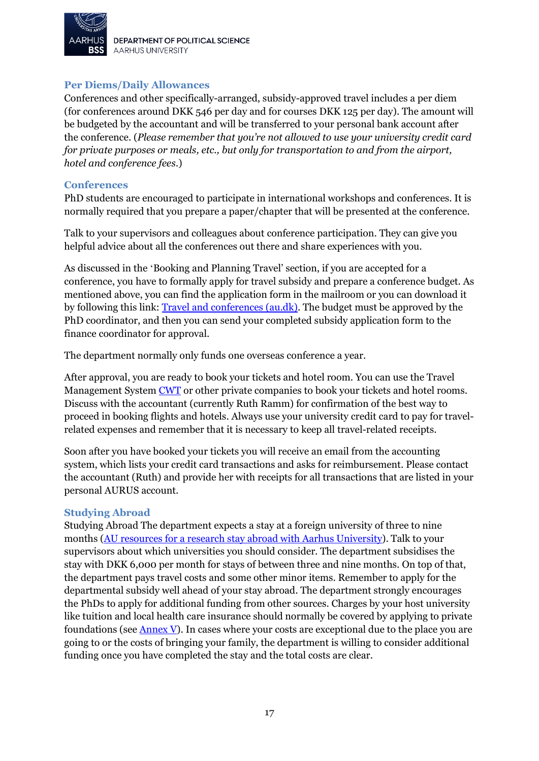

DEPARTMENT OF POLITICAL SCIENCE **AARHUS UNIVERSITY** 

#### <span id="page-16-0"></span>**Per Diems/Daily Allowances**

Conferences and other specifically-arranged, subsidy-approved travel includes a per diem (for conferences around DKK 546 per day and for courses DKK 125 per day). The amount will be budgeted by the accountant and will be transferred to your personal bank account after the conference. (*Please remember that you're not allowed to use your university credit card for private purposes or meals, etc., but only for transportation to and from the airport, hotel and conference fees*.)

#### <span id="page-16-1"></span>**Conferences**

PhD students are encouraged to participate in international workshops and conferences. It is normally required that you prepare a paper/chapter that will be presented at the conference.

Talk to your supervisors and colleagues about conference participation. They can give you helpful advice about all the conferences out there and share experiences with you.

As discussed in the 'Booking and Planning Travel' section, if you are accepted for a conference, you have to formally apply for travel subsidy and prepare a conference budget. As mentioned above, you can find the application form in the mailroom or you can download it by following this link: **Travel and conferences (au.dk)**. The budget must be approved by the PhD coordinator, and then you can send your completed subsidy application form to the finance coordinator for approval.

The department normally only funds one overseas conference a year.

After approval, you are ready to book your tickets and hotel room. You can use the Travel Management System [CWT](https://www.mycwt.com/) or other private companies to book your tickets and hotel rooms. Discuss with the accountant (currently Ruth Ramm) for confirmation of the best way to proceed in booking flights and hotels. Always use your university credit card to pay for travelrelated expenses and remember that it is necessary to keep all travel-related receipts.

Soon after you have booked your tickets you will receive an email from the accounting system, which lists your credit card transactions and asks for reimbursement. Please contact the accountant (Ruth) and provide her with receipts for all transactions that are listed in your personal AURUS account.

#### <span id="page-16-2"></span>**Studying Abroad**

Studying Abroad The department expects a stay at a foreign university of three to nine months [\(AU resources for a research stay abroad with Aarhus University\)](https://researchabroad.au.dk/). Talk to your supervisors about which universities you should consider. The department subsidises the stay with DKK 6,000 per month for stays of between three and nine months. On top of that, the department pays travel costs and some other minor items. Remember to apply for the departmental subsidy well ahead of your stay abroad. The department strongly encourages the PhDs to apply for additional funding from other sources. Charges by your host university like tuition and local health care insurance should normally be covered by applying to private foundations (see [Annex V\)](#page-24-0). In cases where your costs are exceptional due to the place you are going to or the costs of bringing your family, the department is willing to consider additional funding once you have completed the stay and the total costs are clear.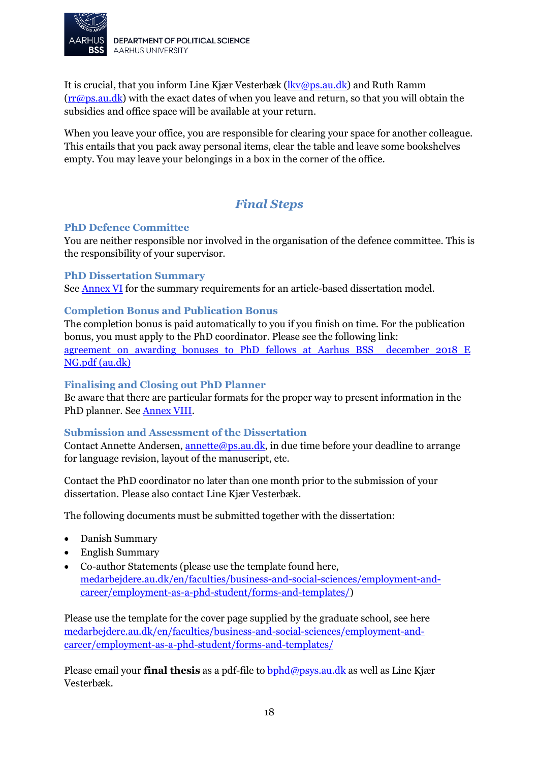

It is crucial, that you inform Line Kjær Vesterbæk [\(lkv@ps.au.dk\)](mailto:lkv@ps.au.dk) and Ruth Ramm [\(rr@ps.au.dk\)](mailto:rr@ps.au.dk) with the exact dates of when you leave and return, so that you will obtain the subsidies and office space will be available at your return.

When you leave your office, you are responsible for clearing your space for another colleague. This entails that you pack away personal items, clear the table and leave some bookshelves empty. You may leave your belongings in a box in the corner of the office.

# *Final Steps*

#### <span id="page-17-1"></span><span id="page-17-0"></span>**PhD Defence Committee**

You are neither responsible nor involved in the organisation of the defence committee. This is the responsibility of your supervisor.

#### <span id="page-17-2"></span>**PhD Dissertation Summary**

See [Annex VI](#page-27-0) for the summary requirements for an article-based dissertation model.

#### <span id="page-17-3"></span>**Completion Bonus and Publication Bonus**

The completion bonus is paid automatically to you if you finish on time. For the publication bonus, you must apply to the PhD coordinator. Please see the following link: agreement on awarding bonuses to PhD fellows at Aarhus BSS december 2018 E [NG.pdf \(au.dk\)](https://medarbejdere.au.dk/fileadmin/www.medarbejdere.au.dk/hovedomraader/Business_and_Social_Sciences/HR_paa_BS/PhD/agreement_on_awarding_bonuses_to_PhD_fellows_at_Aarhus_BSS__december_2018_ENG.pdf)

#### <span id="page-17-4"></span>**Finalising and Closing out PhD Planner**

Be aware that there are particular formats for the proper way to present information in the PhD planner. See [Annex VIII.](#page-31-1)

#### <span id="page-17-5"></span>**Submission and Assessment of the Dissertation**

Contact Annette Andersen,  $\frac{annette(\omega)$ ps.au.dk, in due time before your deadline to arrange for language revision, layout of the manuscript, etc.

Contact the PhD coordinator no later than one month prior to the submission of your dissertation. Please also contact Line Kjær Vesterbæk.

The following documents must be submitted together with the dissertation:

- Danish Summary
- English Summary
- Co-author Statements (please use the template found here, [medarbejdere.au.dk/en/faculties/business-and-social-sciences/employment-and](https://medarbejdere.au.dk/en/faculties/business-and-social-sciences/employment-and-career/employment-as-a-phd-student/forms-and-templates/)[career/employment-as-a-phd-student/forms-and-templates/\)](https://medarbejdere.au.dk/en/faculties/business-and-social-sciences/employment-and-career/employment-as-a-phd-student/forms-and-templates/)

Please use the template for the cover page supplied by the graduate school, see here [medarbejdere.au.dk/en/faculties/business-and-social-sciences/employment-and](https://medarbejdere.au.dk/en/faculties/business-and-social-sciences/employment-and-career/employment-as-a-phd-student/forms-and-templates/)[career/employment-as-a-phd-student/forms-and-templates/](https://medarbejdere.au.dk/en/faculties/business-and-social-sciences/employment-and-career/employment-as-a-phd-student/forms-and-templates/)

Please email your **final thesis** as a pdf-file to [bphd@psys.au.dk](mailto:bphd@psys.au.dk) as well as Line Kjær Vesterbæk.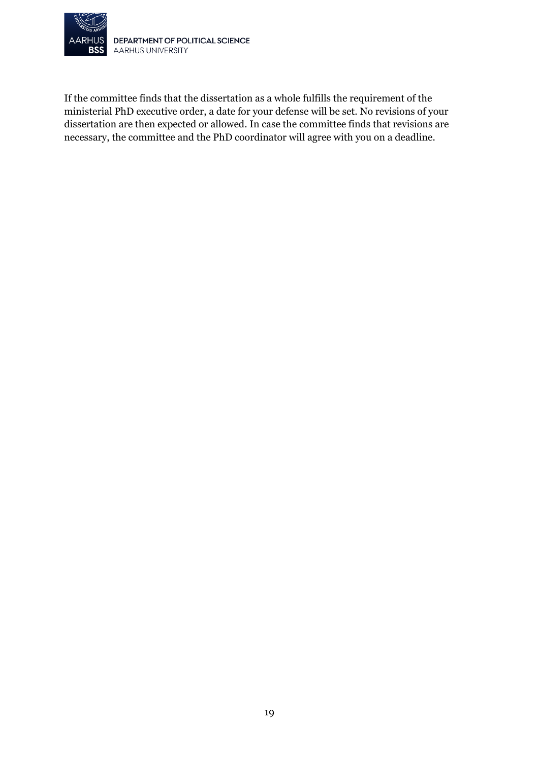

If the committee finds that the dissertation as a whole fulfills the requirement of the ministerial PhD executive order, a date for your defense will be set. No revisions of your dissertation are then expected or allowed. In case the committee finds that revisions are necessary, the committee and the PhD coordinator will agree with you on a deadline.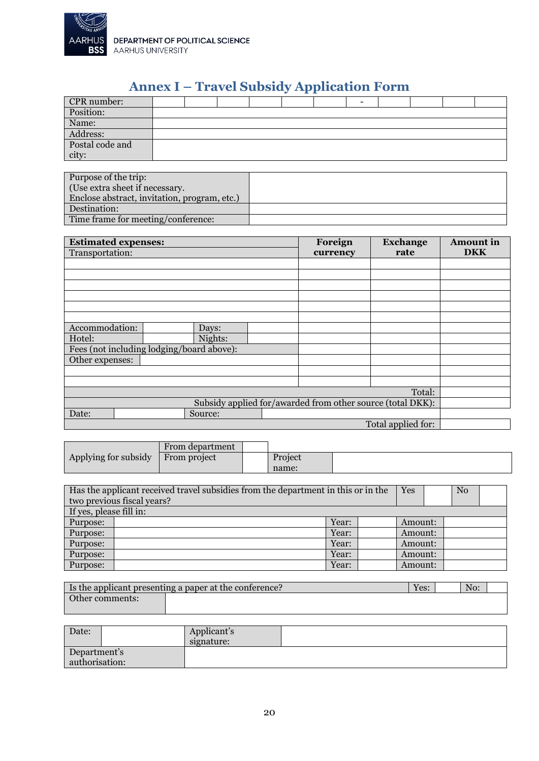

DEPARTMENT OF POLITICAL SCIENCE<br>AARHUS UNIVERSITY

# **Annex I – Travel Subsidy Application Form**

<span id="page-19-0"></span>

|                 |  |  | $\sim$ |  |  |  |
|-----------------|--|--|--------|--|--|--|
| CPR number:     |  |  |        |  |  |  |
| Position:       |  |  |        |  |  |  |
| Name:           |  |  |        |  |  |  |
| Address:        |  |  |        |  |  |  |
| Postal code and |  |  |        |  |  |  |
| city:           |  |  |        |  |  |  |

| Purpose of the trip:                         |  |
|----------------------------------------------|--|
| (Use extra sheet if necessary.               |  |
| Enclose abstract, invitation, program, etc.) |  |
| Destination:                                 |  |
| Time frame for meeting/conference:           |  |

|                                                            | <b>Estimated expenses:</b>                |  |          | <b>Exchange</b>    | <b>Amount</b> in |
|------------------------------------------------------------|-------------------------------------------|--|----------|--------------------|------------------|
| Transportation:                                            |                                           |  | currency | rate               | <b>DKK</b>       |
|                                                            |                                           |  |          |                    |                  |
|                                                            |                                           |  |          |                    |                  |
|                                                            |                                           |  |          |                    |                  |
|                                                            |                                           |  |          |                    |                  |
|                                                            |                                           |  |          |                    |                  |
|                                                            |                                           |  |          |                    |                  |
| Accommodation:                                             | Days:                                     |  |          |                    |                  |
| Hotel:                                                     | Nights:                                   |  |          |                    |                  |
|                                                            | Fees (not including lodging/board above): |  |          |                    |                  |
| Other expenses:                                            |                                           |  |          |                    |                  |
|                                                            |                                           |  |          |                    |                  |
|                                                            |                                           |  |          |                    |                  |
|                                                            |                                           |  |          | Total:             |                  |
| Subsidy applied for/awarded from other source (total DKK): |                                           |  |          |                    |                  |
| Date:                                                      | Source:                                   |  |          |                    |                  |
|                                                            |                                           |  |          | Total applied for: |                  |

|                      | From department |         |  |
|----------------------|-----------------|---------|--|
| Applying for subsidy | From project    | Project |  |
|                      |                 | name:   |  |

| Has the applicant received travel subsidies from the department in this or in the<br>two previous fiscal years? |  |       |  | Yes     |  | No |  |
|-----------------------------------------------------------------------------------------------------------------|--|-------|--|---------|--|----|--|
| If yes, please fill in:                                                                                         |  |       |  |         |  |    |  |
| Purpose:                                                                                                        |  | Year: |  | Amount: |  |    |  |
| Purpose:                                                                                                        |  | Year: |  | Amount: |  |    |  |
| Purpose:                                                                                                        |  | Year: |  | Amount: |  |    |  |
| Purpose:                                                                                                        |  | Year: |  | Amount: |  |    |  |
| Purpose:                                                                                                        |  | Year: |  | Amount: |  |    |  |

| I Is the applicant presenting a paper at the conference? |  | Yes: | No: |  |
|----------------------------------------------------------|--|------|-----|--|
| Other comments:                                          |  |      |     |  |

| Date:                          | Applicant's<br>signature: |  |
|--------------------------------|---------------------------|--|
| Department's<br>authorisation: |                           |  |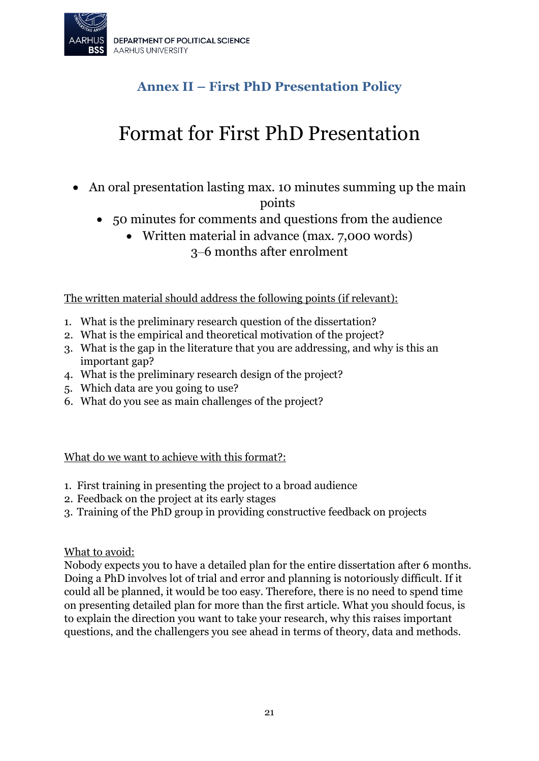<span id="page-20-0"></span>

# **Annex II – First PhD Presentation Policy**

# Format for First PhD Presentation

• An oral presentation lasting max. 10 minutes summing up the main

points

- 50 minutes for comments and questions from the audience
	- Written material in advance (max. 7,000 words) 3‒6 months after enrolment

The written material should address the following points (if relevant):

- 1. What is the preliminary research question of the dissertation?
- 2. What is the empirical and theoretical motivation of the project?
- 3. What is the gap in the literature that you are addressing, and why is this an important gap?
- 4. What is the preliminary research design of the project?
- 5. Which data are you going to use?
- 6. What do you see as main challenges of the project?

What do we want to achieve with this format?:

- 1. First training in presenting the project to a broad audience
- 2. Feedback on the project at its early stages
- 3. Training of the PhD group in providing constructive feedback on projects

What to avoid:

Nobody expects you to have a detailed plan for the entire dissertation after 6 months. Doing a PhD involves lot of trial and error and planning is notoriously difficult. If it could all be planned, it would be too easy. Therefore, there is no need to spend time on presenting detailed plan for more than the first article. What you should focus, is to explain the direction you want to take your research, why this raises important questions, and the challengers you see ahead in terms of theory, data and methods.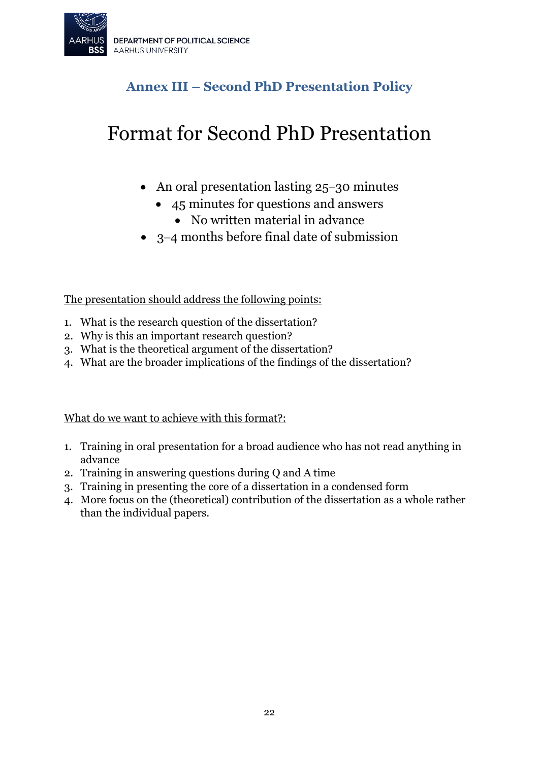

# **Annex III – Second PhD Presentation Policy**

# <span id="page-21-0"></span>Format for Second PhD Presentation

- An oral presentation lasting 25–30 minutes
	- 45 minutes for questions and answers
		- No written material in advance
- 3‒4 months before final date of submission

The presentation should address the following points:

- 1. What is the research question of the dissertation?
- 2. Why is this an important research question?
- 3. What is the theoretical argument of the dissertation?
- 4. What are the broader implications of the findings of the dissertation?

What do we want to achieve with this format?:

- 1. Training in oral presentation for a broad audience who has not read anything in advance
- 2. Training in answering questions during Q and A time
- 3. Training in presenting the core of a dissertation in a condensed form
- 4. More focus on the (theoretical) contribution of the dissertation as a whole rather than the individual papers.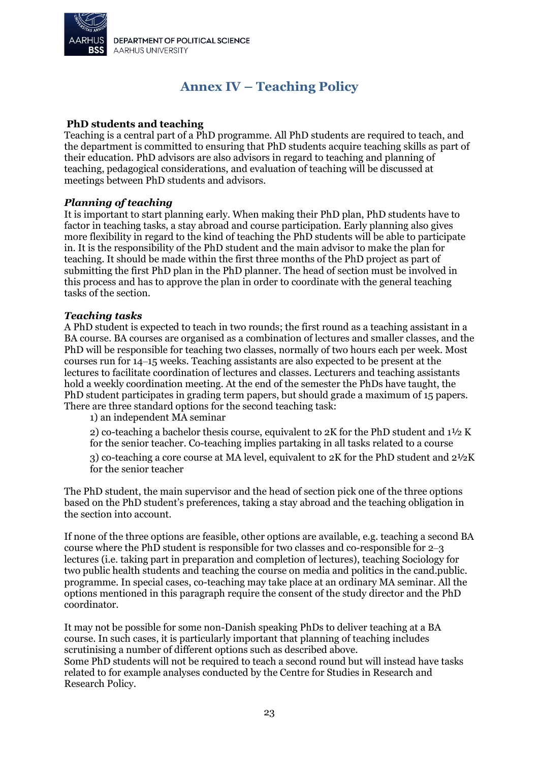

# **Annex IV – Teaching Policy**

#### <span id="page-22-0"></span>**PhD students and teaching**

Teaching is a central part of a PhD programme. All PhD students are required to teach, and the department is committed to ensuring that PhD students acquire teaching skills as part of their education. PhD advisors are also advisors in regard to teaching and planning of teaching, pedagogical considerations, and evaluation of teaching will be discussed at meetings between PhD students and advisors.

#### *Planning of teaching*

It is important to start planning early. When making their PhD plan, PhD students have to factor in teaching tasks, a stay abroad and course participation. Early planning also gives more flexibility in regard to the kind of teaching the PhD students will be able to participate in. It is the responsibility of the PhD student and the main advisor to make the plan for teaching. It should be made within the first three months of the PhD project as part of submitting the first PhD plan in the PhD planner. The head of section must be involved in this process and has to approve the plan in order to coordinate with the general teaching tasks of the section.

#### *Teaching tasks*

A PhD student is expected to teach in two rounds; the first round as a teaching assistant in a BA course. BA courses are organised as a combination of lectures and smaller classes, and the PhD will be responsible for teaching two classes, normally of two hours each per week. Most courses run for 14‒15 weeks. Teaching assistants are also expected to be present at the lectures to facilitate coordination of lectures and classes. Lecturers and teaching assistants hold a weekly coordination meeting. At the end of the semester the PhDs have taught, the PhD student participates in grading term papers, but should grade a maximum of 15 papers. There are three standard options for the second teaching task:

1) an independent MA seminar

2) co-teaching a bachelor thesis course, equivalent to 2K for the PhD student and 1½ K for the senior teacher. Co-teaching implies partaking in all tasks related to a course

3) co-teaching a core course at MA level, equivalent to 2K for the PhD student and 2½K for the senior teacher

The PhD student, the main supervisor and the head of section pick one of the three options based on the PhD student's preferences, taking a stay abroad and the teaching obligation in the section into account.

If none of the three options are feasible, other options are available, e.g. teaching a second BA course where the PhD student is responsible for two classes and co-responsible for  $2-3$ lectures (i.e. taking part in preparation and completion of lectures), teaching Sociology for two public health students and teaching the course on media and politics in the cand.public. programme. In special cases, co-teaching may take place at an ordinary MA seminar. All the options mentioned in this paragraph require the consent of the study director and the PhD coordinator.

It may not be possible for some non-Danish speaking PhDs to deliver teaching at a BA course. In such cases, it is particularly important that planning of teaching includes scrutinising a number of different options such as described above. Some PhD students will not be required to teach a second round but will instead have tasks related to for example analyses conducted by the Centre for Studies in Research and Research Policy.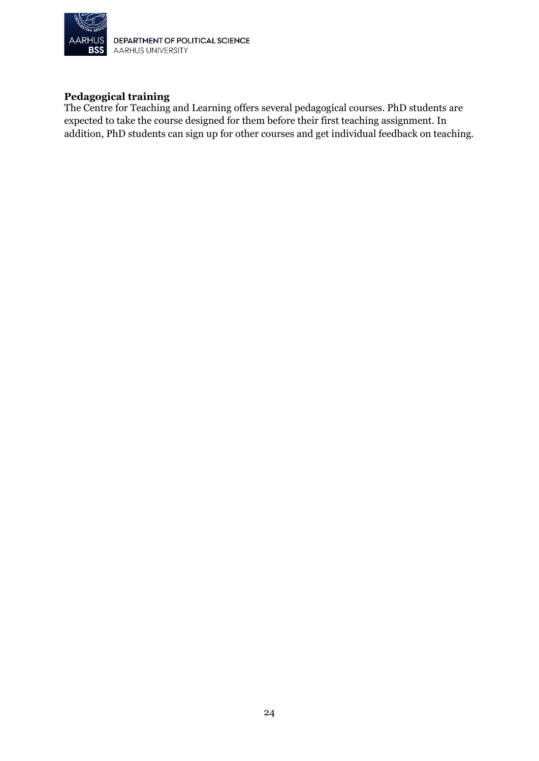

DEPARTMENT OF POLITICAL SCIENCE AARHUS UNIVERSITY

#### **Pedagogical training**

The Centre for Teaching and Learning offers several pedagogical courses. PhD students are expected to take the course designed for them before their first teaching assignment. In addition, PhD students can sign up for other courses and get individual feedback on teaching.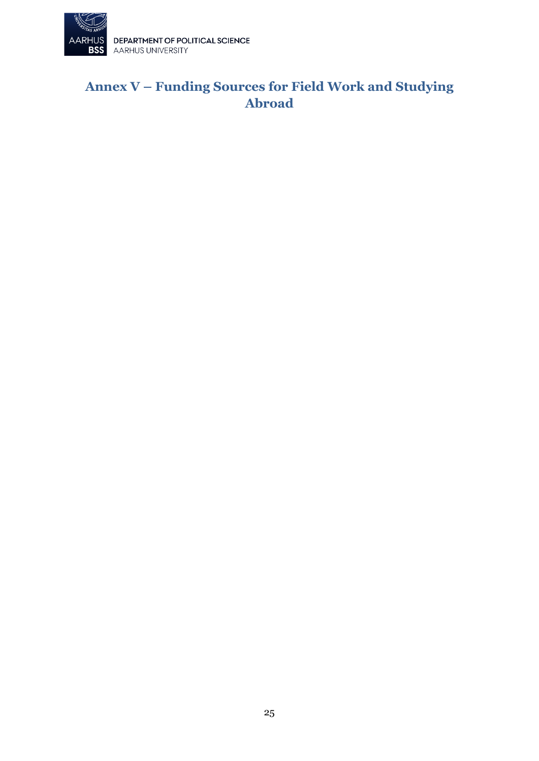

# <span id="page-24-0"></span>**Annex V – Funding Sources for Field Work and Studying Abroad**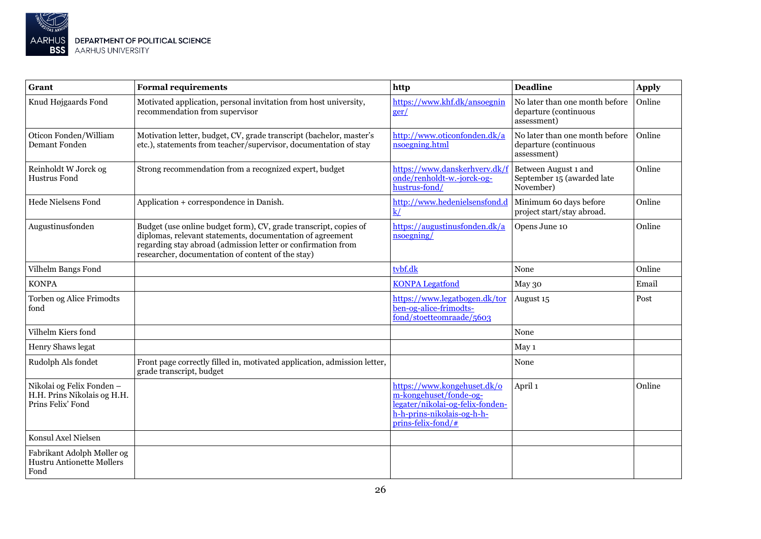

| Grant                                                                         | <b>Formal requirements</b>                                                                                                                                                                                                                         | http                                                                                                                                             | <b>Deadline</b>                                                        | <b>Apply</b> |
|-------------------------------------------------------------------------------|----------------------------------------------------------------------------------------------------------------------------------------------------------------------------------------------------------------------------------------------------|--------------------------------------------------------------------------------------------------------------------------------------------------|------------------------------------------------------------------------|--------------|
| Knud Højgaards Fond                                                           | Motivated application, personal invitation from host university,<br>recommendation from supervisor                                                                                                                                                 | https://www.khf.dk/ansoegnin<br>ger/                                                                                                             | No later than one month before<br>departure (continuous<br>assessment) | Online       |
| Oticon Fonden/William<br>Demant Fonden                                        | Motivation letter, budget, CV, grade transcript (bachelor, master's<br>etc.), statements from teacher/supervisor, documentation of stay                                                                                                            | http://www.oticonfonden.dk/a<br>nsoegning.html                                                                                                   | No later than one month before<br>departure (continuous<br>assessment) | Online       |
| Reinholdt W Jorck og<br>Hustrus Fond                                          | Strong recommendation from a recognized expert, budget                                                                                                                                                                                             | https://www.danskerhverv.dk/f<br>onde/renholdt-w.-jorck-og-<br>hustrus-fond/                                                                     | Between August 1 and<br>September 15 (awarded late<br>November)        | Online       |
| <b>Hede Nielsens Fond</b>                                                     | Application + correspondence in Danish.                                                                                                                                                                                                            | http://www.hedenielsensfond.d<br>$\overline{k/}$                                                                                                 | Minimum 60 days before<br>project start/stay abroad.                   | Online       |
| Augustinusfonden                                                              | Budget (use online budget form), CV, grade transcript, copies of<br>diplomas, relevant statements, documentation of agreement<br>regarding stay abroad (admission letter or confirmation from<br>researcher, documentation of content of the stay) | https://augustinusfonden.dk/a<br>$n$ soegning                                                                                                    | Opens June 10                                                          | Online       |
| Vilhelm Bangs Fond                                                            |                                                                                                                                                                                                                                                    | tvbf.dk                                                                                                                                          | None                                                                   | Online       |
| <b>KONPA</b>                                                                  |                                                                                                                                                                                                                                                    | <b>KONPA Legatfond</b>                                                                                                                           | May 30                                                                 | Email        |
| Torben og Alice Frimodts<br>fond                                              |                                                                                                                                                                                                                                                    | https://www.legatbogen.dk/tor<br>ben-og-alice-frimodts-<br>fond/stoetteomraade/5603                                                              | August 15                                                              | Post         |
| Vilhelm Kiers fond                                                            |                                                                                                                                                                                                                                                    |                                                                                                                                                  | None                                                                   |              |
| Henry Shaws legat                                                             |                                                                                                                                                                                                                                                    |                                                                                                                                                  | May 1                                                                  |              |
| Rudolph Als fondet                                                            | Front page correctly filled in, motivated application, admission letter,<br>grade transcript, budget                                                                                                                                               |                                                                                                                                                  | None                                                                   |              |
| Nikolai og Felix Fonden -<br>H.H. Prins Nikolais og H.H.<br>Prins Felix' Fond |                                                                                                                                                                                                                                                    | https://www.kongehuset.dk/o<br>m-kongehuset/fonde-og-<br>legater/nikolai-og-felix-fonden-<br>h-h-prins-nikolais-og-h-h-<br>$prins$ -felix-fond/# | April 1                                                                | Online       |
| Konsul Axel Nielsen                                                           |                                                                                                                                                                                                                                                    |                                                                                                                                                  |                                                                        |              |
| Fabrikant Adolph Møller og<br><b>Hustru Antionette Møllers</b><br>Fond        |                                                                                                                                                                                                                                                    |                                                                                                                                                  |                                                                        |              |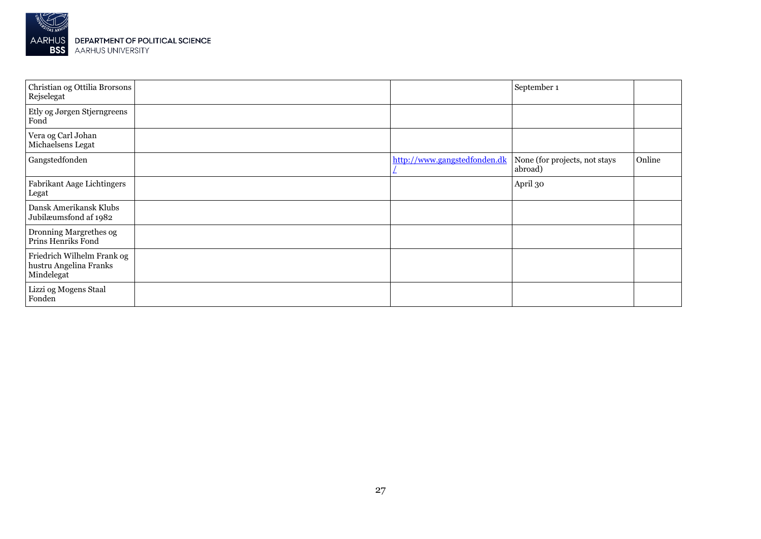

| Christian og Ottilia Brorsons<br>Rejselegat                        |                              | September 1                              |        |
|--------------------------------------------------------------------|------------------------------|------------------------------------------|--------|
| Etly og Jørgen Stjerngreens<br>Fond                                |                              |                                          |        |
| Vera og Carl Johan<br>Michaelsens Legat                            |                              |                                          |        |
| Gangstedfonden                                                     | http://www.gangstedfonden.dk | None (for projects, not stays<br>abroad) | Online |
| Fabrikant Aage Lichtingers<br>Legat                                |                              | April 30                                 |        |
| Dansk Amerikansk Klubs<br>Jubilæumsfond af 1982                    |                              |                                          |        |
| Dronning Margrethes og<br>Prins Henriks Fond                       |                              |                                          |        |
| Friedrich Wilhelm Frank og<br>hustru Angelina Franks<br>Mindelegat |                              |                                          |        |
| Lizzi og Mogens Staal<br>Fonden                                    |                              |                                          |        |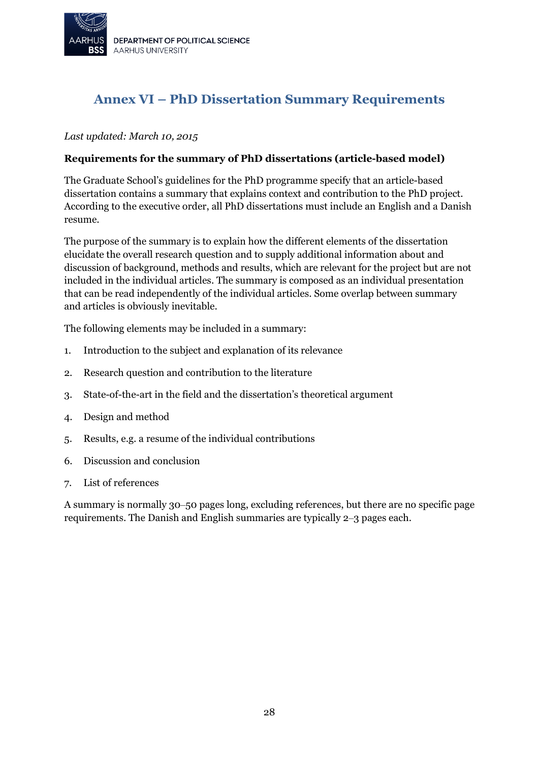

# <span id="page-27-0"></span>**Annex VI – PhD Dissertation Summary Requirements**

#### *Last updated: March 10, 2015*

#### **Requirements for the summary of PhD dissertations (article-based model)**

The Graduate School's guidelines for the PhD programme specify that an article-based dissertation contains a summary that explains context and contribution to the PhD project. According to the executive order, all PhD dissertations must include an English and a Danish resume.

The purpose of the summary is to explain how the different elements of the dissertation elucidate the overall research question and to supply additional information about and discussion of background, methods and results, which are relevant for the project but are not included in the individual articles. The summary is composed as an individual presentation that can be read independently of the individual articles. Some overlap between summary and articles is obviously inevitable.

The following elements may be included in a summary:

- 1. Introduction to the subject and explanation of its relevance
- 2. Research question and contribution to the literature
- 3. State-of-the-art in the field and the dissertation's theoretical argument
- 4. Design and method
- 5. Results, e.g. a resume of the individual contributions
- 6. Discussion and conclusion
- 7. List of references

A summary is normally 30‒50 pages long, excluding references, but there are no specific page requirements. The Danish and English summaries are typically 2‒3 pages each.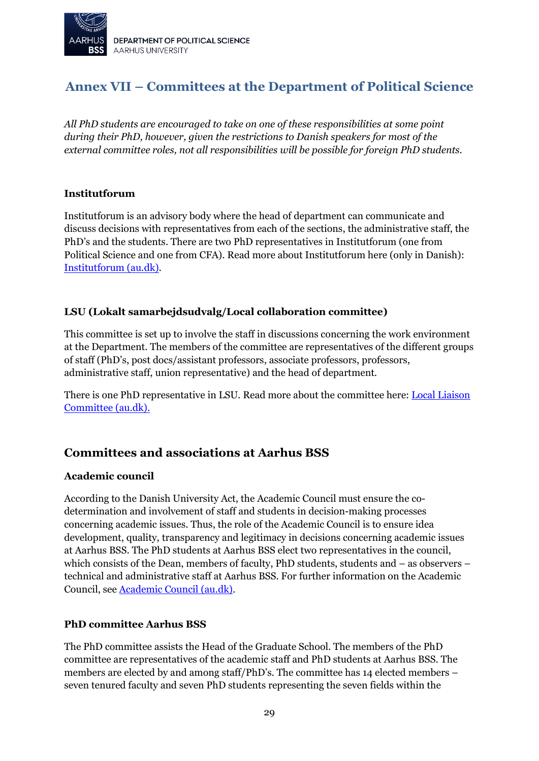

# <span id="page-28-0"></span>**Annex VII – Committees at the Department of Political Science**

*All PhD students are encouraged to take on one of these responsibilities at some point during their PhD, however, given the restrictions to Danish speakers for most of the external committee roles, not all responsibilities will be possible for foreign PhD students.*

#### **Institutforum**

Institutforum is an advisory body where the head of department can communicate and discuss decisions with representatives from each of the sections, the administrative staff, the PhD's and the students. There are two PhD representatives in Institutforum (one from Political Science and one from CFA). Read more about Institutforum here (only in Danish): [Institutforum \(au.dk\).](https://ps.medarbejdere.au.dk/om-instituttet/udvalg-og-fora/institutforum)

#### **LSU (Lokalt samarbejdsudvalg/Local collaboration committee)**

This committee is set up to involve the staff in discussions concerning the work environment at the Department. The members of the committee are representatives of the different groups of staff (PhD's, post docs/assistant professors, associate professors, professors, administrative staff, union representative) and the head of department.

There is one PhD representative in LSU. Read more about the committee here[: Local Liaison](https://ps.medarbejdere.au.dk/en/associations-and-forums/local-liaison-committee)  [Committee \(au.dk\).](https://ps.medarbejdere.au.dk/en/associations-and-forums/local-liaison-committee)

### **Committees and associations at Aarhus BSS**

#### **Academic council**

According to the Danish University Act, the Academic Council must ensure the codetermination and involvement of staff and students in decision-making processes concerning academic issues. Thus, the role of the Academic Council is to ensure idea development, quality, transparency and legitimacy in decisions concerning academic issues at Aarhus BSS. The PhD students at Aarhus BSS elect two representatives in the council, which consists of the Dean, members of faculty, PhD students, students and – as observers – technical and administrative staff at Aarhus BSS. For further information on the Academic Council, se[e Academic Council \(au.dk\).](https://bss.au.dk/en/about-aarhus-bss/organisation/academic-council/)

#### **PhD committee Aarhus BSS**

The PhD committee assists the Head of the Graduate School. The members of the PhD committee are representatives of the academic staff and PhD students at Aarhus BSS. The members are elected by and among staff/PhD's. The committee has 14 elected members – seven tenured faculty and seven PhD students representing the seven fields within the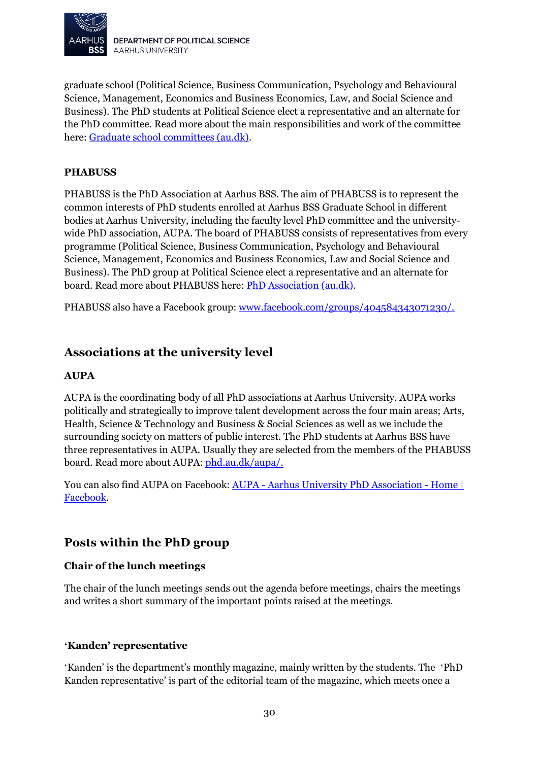

graduate school (Political Science, Business Communication, Psychology and Behavioural Science, Management, Economics and Business Economics, Law, and Social Science and Business). The PhD students at Political Science elect a representative and an alternate for the PhD committee. Read more about the main responsibilities and work of the committee here: [Graduate school committees \(au.dk\).](https://bss.au.dk/en/research/phd/profile/graduate-school-committees)

#### **PHABUSS**

PHABUSS is the PhD Association at Aarhus BSS. The aim of PHABUSS is to represent the common interests of PhD students enrolled at Aarhus BSS Graduate School in different bodies at Aarhus University, including the faculty level PhD committee and the universitywide PhD association, AUPA. The board of PHABUSS consists of representatives from every programme (Political Science, Business Communication, Psychology and Behavioural Science, Management, Economics and Business Economics, Law and Social Science and Business). The PhD group at Political Science elect a representative and an alternate for board. Read more about PHABUSS here: [PhD Association \(au.dk\).](https://bss.au.dk/en/research/phd/profile/phd-association)

PHABUSS also have a Facebook group: [www.facebook.com/groups/404584343071230/.](http://www.facebook.com/groups/404584343071230/)

### **Associations at the university level**

#### **AUPA**

AUPA is the coordinating body of all PhD associations at Aarhus University. AUPA works politically and strategically to improve talent development across the four main areas; Arts, Health, Science & Technology and Business & Social Sciences as well as we include the surrounding society on matters of public interest. The PhD students at Aarhus BSS have three representatives in AUPA. Usually they are selected from the members of the PHABUSS board. Read more about AUPA: [phd.au.dk/aupa/.](http://phd.au.dk/aupa/)

You can also find AUPA on Facebook: AUPA - [Aarhus University PhD Association -](https://www.facebook.com/AUPAphd/) Home | [Facebook.](https://www.facebook.com/AUPAphd/)

#### **Posts within the PhD group**

#### **Chair of the lunch meetings**

The chair of the lunch meetings sends out the agenda before meetings, chairs the meetings and writes a short summary of the important points raised at the meetings.

#### **'Kanden' representative**

'Kanden' is the department's monthly magazine, mainly written by the students. The 'PhD Kanden representative' is part of the editorial team of the magazine, which meets once a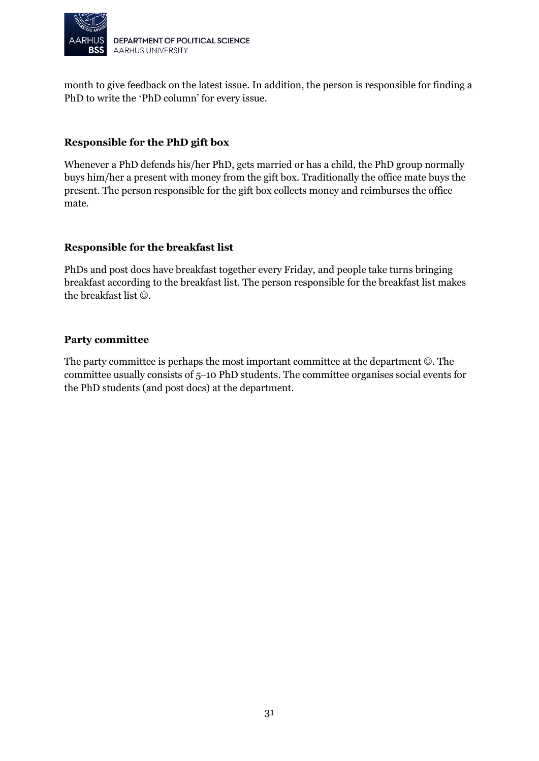

month to give feedback on the latest issue. In addition, the person is responsible for finding a PhD to write the 'PhD column' for every issue.

#### **Responsible for the PhD gift box**

Whenever a PhD defends his/her PhD, gets married or has a child, the PhD group normally buys him/her a present with money from the gift box. Traditionally the office mate buys the present. The person responsible for the gift box collects money and reimburses the office mate.

#### **Responsible for the breakfast list**

PhDs and post docs have breakfast together every Friday, and people take turns bringing breakfast according to the breakfast list. The person responsible for the breakfast list makes the breakfast list  $\odot$ .

#### **Party committee**

The party committee is perhaps the most important committee at the department  $\odot$ . The committee usually consists of 5–10 PhD students. The committee organises social events for the PhD students (and post docs) at the department.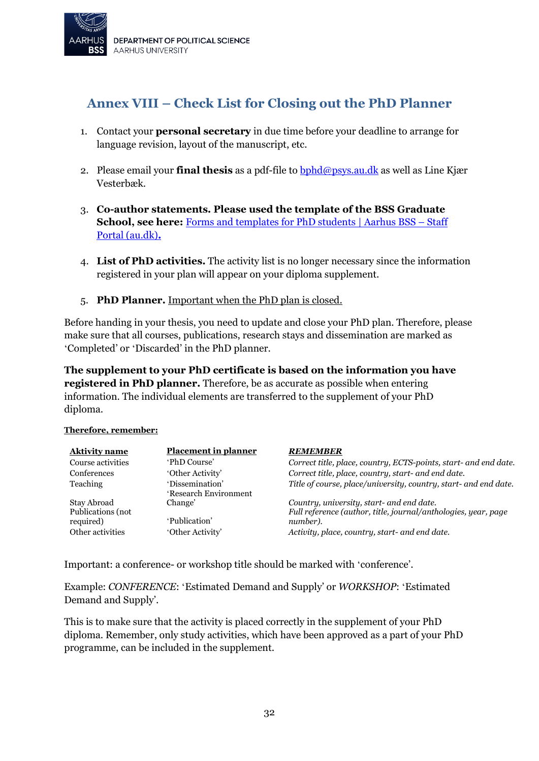

# <span id="page-31-1"></span><span id="page-31-0"></span>**Annex VIII – Check List for Closing out the PhD Planner**

- 1. Contact your **personal secretary** in due time before your deadline to arrange for language revision, layout of the manuscript, etc.
- 2. Please email your **final thesis** as a pdf-file to [bphd@psys.au.dk](mailto:bphd@psys.au.dk) as well as Line Kjær Vesterbæk.
- 3. **Co-author statements. Please used the template of the BSS Graduate School, see here:** [Forms and templates for PhD students | Aarhus BSS –](https://medarbejdere.au.dk/en/faculties/business-and-social-sciences/employment-and-career/employment-as-a-phd-student/forms-and-templates/) Staff [Portal \(au.dk\)](https://medarbejdere.au.dk/en/faculties/business-and-social-sciences/employment-and-career/employment-as-a-phd-student/forms-and-templates/)**.**
- 4. **List of PhD activities.** The activity list is no longer necessary since the information registered in your plan will appear on your diploma supplement.
- 5. **PhD Planner.** Important when the PhD plan is closed.

Before handing in your thesis, you need to update and close your PhD plan. Therefore, please make sure that all courses, publications, research stays and dissemination are marked as 'Completed' or 'Discarded' in the PhD planner.

**The supplement to your PhD certificate is based on the information you have registered in PhD planner.** Therefore, be as accurate as possible when entering information. The individual elements are transferred to the supplement of your PhD diploma.

#### **Therefore, remember:**

| <b>Aktivity name</b>             | <b>Placement in planner</b>              | <b>REMEMBER</b>                                                                                             |
|----------------------------------|------------------------------------------|-------------------------------------------------------------------------------------------------------------|
| Course activities                | 'PhD Course'                             | Correct title, place, country, ECTS-points, start- and end date.                                            |
| <b>Conferences</b>               | 'Other Activity'                         | Correct title, place, country, start- and end date.                                                         |
| Teaching                         | 'Dissemination'<br>'Research Environment | Title of course, place/university, country, start- and end date.                                            |
| Stay Abroad<br>Publications (not | Change'                                  | Country, university, start- and end date.<br>Full reference (author, title, journal/anthologies, year, page |
| required)                        | 'Publication'                            | number).                                                                                                    |
| Other activities                 | 'Other Activity'                         | Activity, place, country, start- and end date.                                                              |

Important: a conference- or workshop title should be marked with 'conference'.

Example: *CONFERENCE*: 'Estimated Demand and Supply' or *WORKSHOP*: 'Estimated Demand and Supply'.

This is to make sure that the activity is placed correctly in the supplement of your PhD diploma. Remember, only study activities, which have been approved as a part of your PhD programme, can be included in the supplement.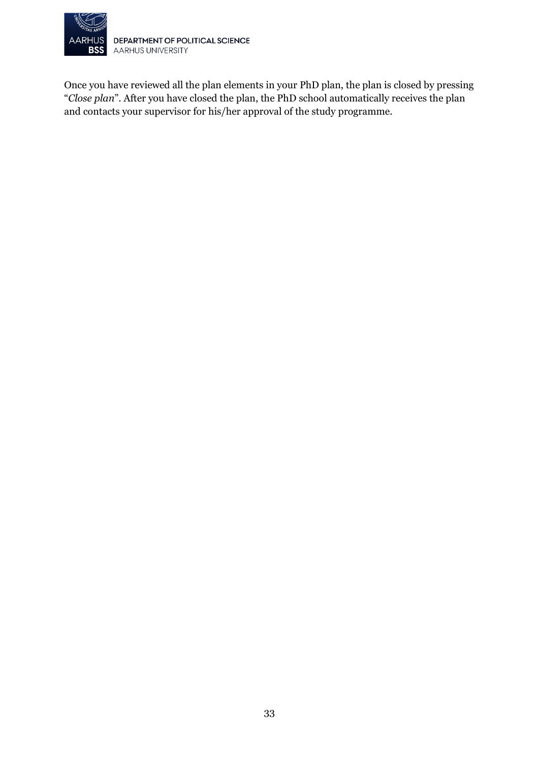

DEPARTMENT OF POLITICAL SCIENCE AARHUS UNIVERSITY

Once you have reviewed all the plan elements in your PhD plan, the plan is closed by pressing "*Close plan*". After you have closed the plan, the PhD school automatically receives the plan and contacts your supervisor for his/her approval of the study programme.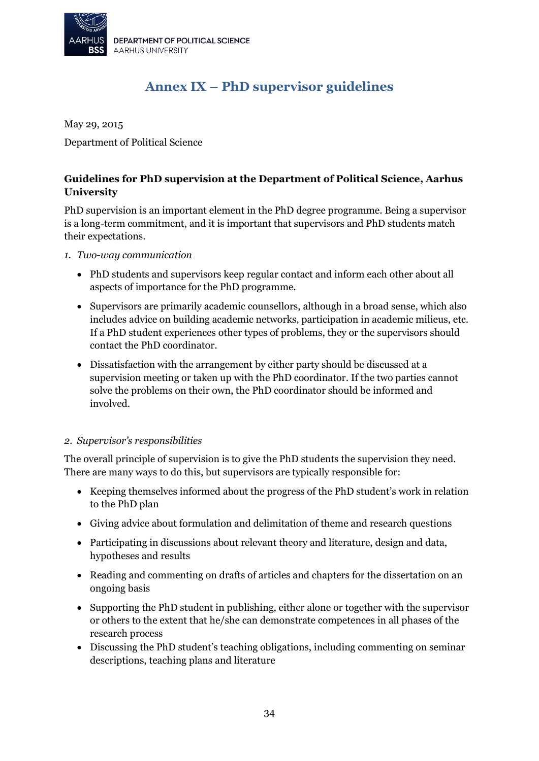

# **Annex IX – PhD supervisor guidelines**

<span id="page-33-0"></span>May 29, 2015 Department of Political Science

#### **Guidelines for PhD supervision at the Department of Political Science, Aarhus University**

PhD supervision is an important element in the PhD degree programme. Being a supervisor is a long-term commitment, and it is important that supervisors and PhD students match their expectations.

*1. Two-way communication*

- PhD students and supervisors keep regular contact and inform each other about all aspects of importance for the PhD programme.
- Supervisors are primarily academic counsellors, although in a broad sense, which also includes advice on building academic networks, participation in academic milieus, etc. If a PhD student experiences other types of problems, they or the supervisors should contact the PhD coordinator.
- Dissatisfaction with the arrangement by either party should be discussed at a supervision meeting or taken up with the PhD coordinator. If the two parties cannot solve the problems on their own, the PhD coordinator should be informed and involved.

#### *2. Supervisor's responsibilities*

The overall principle of supervision is to give the PhD students the supervision they need. There are many ways to do this, but supervisors are typically responsible for:

- Keeping themselves informed about the progress of the PhD student's work in relation to the PhD plan
- Giving advice about formulation and delimitation of theme and research questions
- Participating in discussions about relevant theory and literature, design and data, hypotheses and results
- Reading and commenting on drafts of articles and chapters for the dissertation on an ongoing basis
- Supporting the PhD student in publishing, either alone or together with the supervisor or others to the extent that he/she can demonstrate competences in all phases of the research process
- Discussing the PhD student's teaching obligations, including commenting on seminar descriptions, teaching plans and literature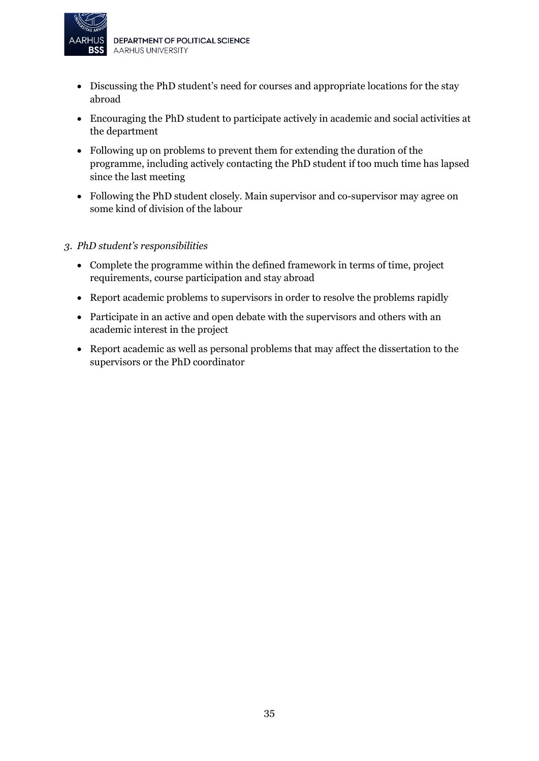

- Discussing the PhD student's need for courses and appropriate locations for the stay abroad
- Encouraging the PhD student to participate actively in academic and social activities at the department
- Following up on problems to prevent them for extending the duration of the programme, including actively contacting the PhD student if too much time has lapsed since the last meeting
- Following the PhD student closely. Main supervisor and co-supervisor may agree on some kind of division of the labour

#### *3. PhD student's responsibilities*

- Complete the programme within the defined framework in terms of time, project requirements, course participation and stay abroad
- Report academic problems to supervisors in order to resolve the problems rapidly
- Participate in an active and open debate with the supervisors and others with an academic interest in the project
- Report academic as well as personal problems that may affect the dissertation to the supervisors or the PhD coordinator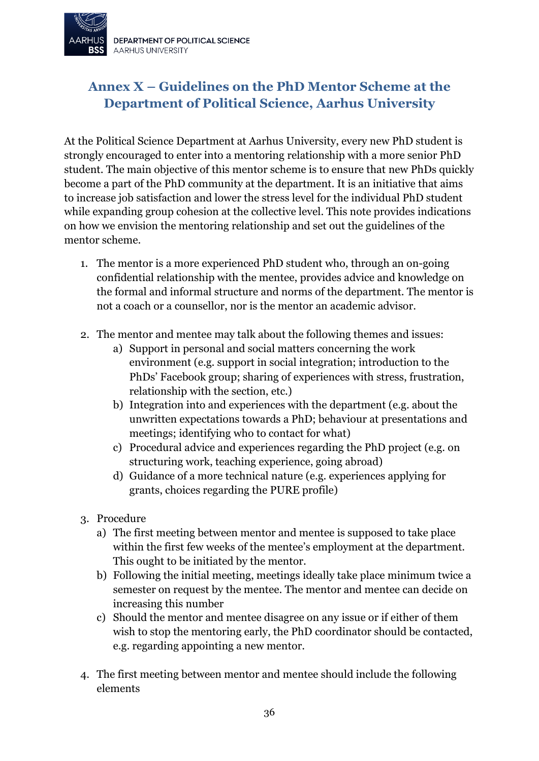

# <span id="page-35-0"></span>**Annex X – Guidelines on the PhD Mentor Scheme at the Department of Political Science, Aarhus University**

At the Political Science Department at Aarhus University, every new PhD student is strongly encouraged to enter into a mentoring relationship with a more senior PhD student. The main objective of this mentor scheme is to ensure that new PhDs quickly become a part of the PhD community at the department. It is an initiative that aims to increase job satisfaction and lower the stress level for the individual PhD student while expanding group cohesion at the collective level. This note provides indications on how we envision the mentoring relationship and set out the guidelines of the mentor scheme.

- 1. The mentor is a more experienced PhD student who, through an on-going confidential relationship with the mentee, provides advice and knowledge on the formal and informal structure and norms of the department. The mentor is not a coach or a counsellor, nor is the mentor an academic advisor.
- 2. The mentor and mentee may talk about the following themes and issues:
	- a) Support in personal and social matters concerning the work environment (e.g. support in social integration; introduction to the PhDs' Facebook group; sharing of experiences with stress, frustration, relationship with the section, etc.)
	- b) Integration into and experiences with the department (e.g. about the unwritten expectations towards a PhD; behaviour at presentations and meetings; identifying who to contact for what)
	- c) Procedural advice and experiences regarding the PhD project (e.g. on structuring work, teaching experience, going abroad)
	- d) Guidance of a more technical nature (e.g. experiences applying for grants, choices regarding the PURE profile)
- 3. Procedure
	- a) The first meeting between mentor and mentee is supposed to take place within the first few weeks of the mentee's employment at the department. This ought to be initiated by the mentor.
	- b) Following the initial meeting, meetings ideally take place minimum twice a semester on request by the mentee. The mentor and mentee can decide on increasing this number
	- c) Should the mentor and mentee disagree on any issue or if either of them wish to stop the mentoring early, the PhD coordinator should be contacted, e.g. regarding appointing a new mentor.
- 4. The first meeting between mentor and mentee should include the following elements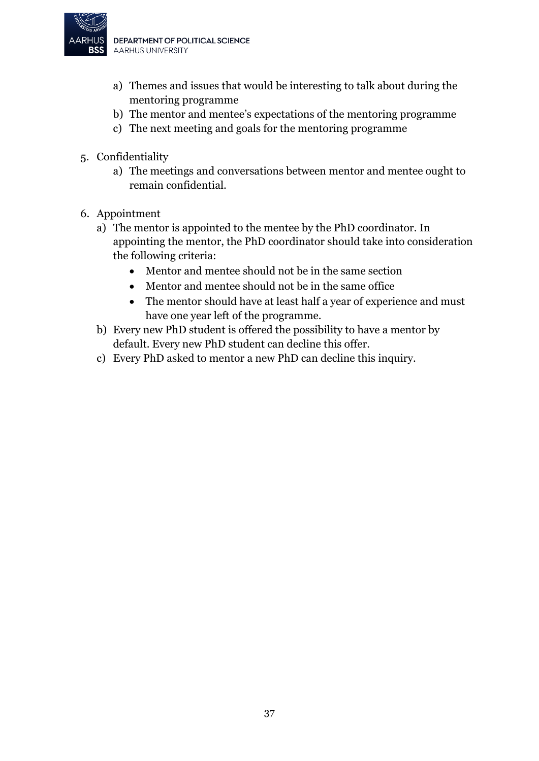

- a) Themes and issues that would be interesting to talk about during the mentoring programme
- b) The mentor and mentee's expectations of the mentoring programme
- c) The next meeting and goals for the mentoring programme
- 5. Confidentiality
	- a) The meetings and conversations between mentor and mentee ought to remain confidential.
- 6. Appointment
	- a) The mentor is appointed to the mentee by the PhD coordinator. In appointing the mentor, the PhD coordinator should take into consideration the following criteria:
		- Mentor and mentee should not be in the same section
		- Mentor and mentee should not be in the same office
		- The mentor should have at least half a year of experience and must have one year left of the programme.
	- b) Every new PhD student is offered the possibility to have a mentor by default. Every new PhD student can decline this offer.
	- c) Every PhD asked to mentor a new PhD can decline this inquiry.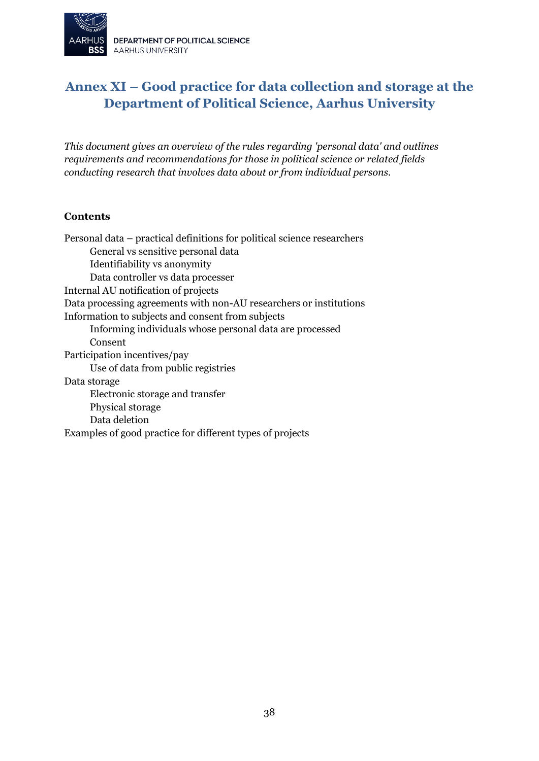

# <span id="page-37-0"></span>**Annex XI – Good practice for data collection and storage at the Department of Political Science, Aarhus University**

*This document gives an overview of the rules regarding 'personal data' and outlines requirements and recommendations for those in political science or related fields conducting research that involves data about or from individual persons.*

#### **Contents**

Personal data – practical definitions for political science researchers General vs sensitive personal data Identifiability vs anonymity Data controller vs data processer Internal AU notification of projects Data processing agreements with non-AU researchers or institutions Information to subjects and consent from subjects Informing individuals whose personal data are processed Consent Participation incentives/pay Use of data from public registries Data storage Electronic storage and transfer Physical storage Data deletion Examples of good practice for different types of projects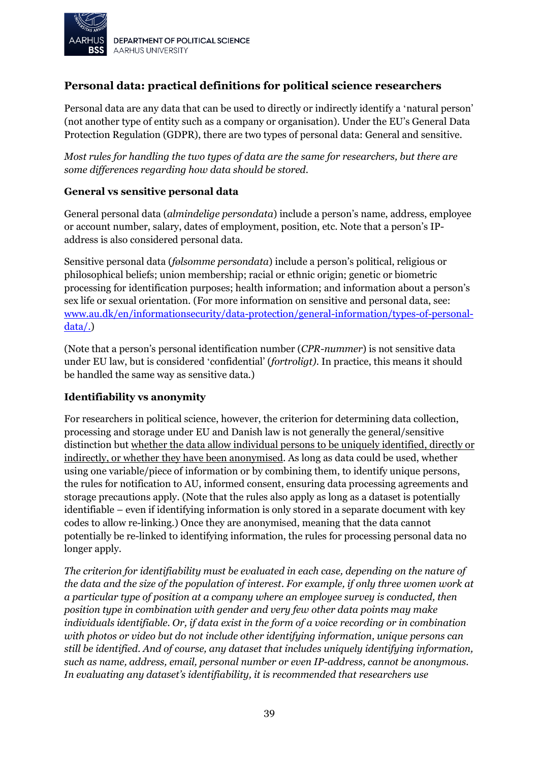

### **Personal data: practical definitions for political science researchers**

Personal data are any data that can be used to directly or indirectly identify a 'natural person' (not another type of entity such as a company or organisation). Under the EU's General Data Protection Regulation (GDPR), there are two types of personal data: General and sensitive.

*Most rules for handling the two types of data are the same for researchers, but there are some differences regarding how data should be stored.*

#### **General vs sensitive personal data**

General personal data (*almindelige persondata*) include a person's name, address, employee or account number, salary, dates of employment, position, etc. Note that a person's IPaddress is also considered personal data.

Sensitive personal data (*følsomme persondata*) include a person's political, religious or philosophical beliefs; union membership; racial or ethnic origin; genetic or biometric processing for identification purposes; health information; and information about a person's sex life or sexual orientation. (For more information on sensitive and personal data, see: [www.au.dk/en/informationsecurity/data-protection/general-information/types-of-personal](http://www.au.dk/en/informationsecurity/data-protection/general-information/types-of-personal-data/)[data/.](http://www.au.dk/en/informationsecurity/data-protection/general-information/types-of-personal-data/))

(Note that a person's personal identification number (*CPR-nummer*) is not sensitive data under EU law, but is considered 'confidential' (*fortroligt).* In practice, this means it should be handled the same way as sensitive data.)

#### **Identifiability vs anonymity**

For researchers in political science, however, the criterion for determining data collection, processing and storage under EU and Danish law is not generally the general/sensitive distinction but whether the data allow individual persons to be uniquely identified, directly or indirectly, or whether they have been anonymised. As long as data could be used, whether using one variable/piece of information or by combining them, to identify unique persons, the rules for notification to AU, informed consent, ensuring data processing agreements and storage precautions apply. (Note that the rules also apply as long as a dataset is potentially identifiable – even if identifying information is only stored in a separate document with key codes to allow re-linking.) Once they are anonymised, meaning that the data cannot potentially be re-linked to identifying information, the rules for processing personal data no longer apply.

*The criterion for identifiability must be evaluated in each case, depending on the nature of the data and the size of the population of interest. For example, if only three women work at a particular type of position at a company where an employee survey is conducted, then position type in combination with gender and very few other data points may make individuals identifiable. Or, if data exist in the form of a voice recording or in combination with photos or video but do not include other identifying information, unique persons can still be identified. And of course, any dataset that includes uniquely identifying information, such as name, address, email, personal number or even IP-address, cannot be anonymous. In evaluating any dataset's identifiability, it is recommended that researchers use*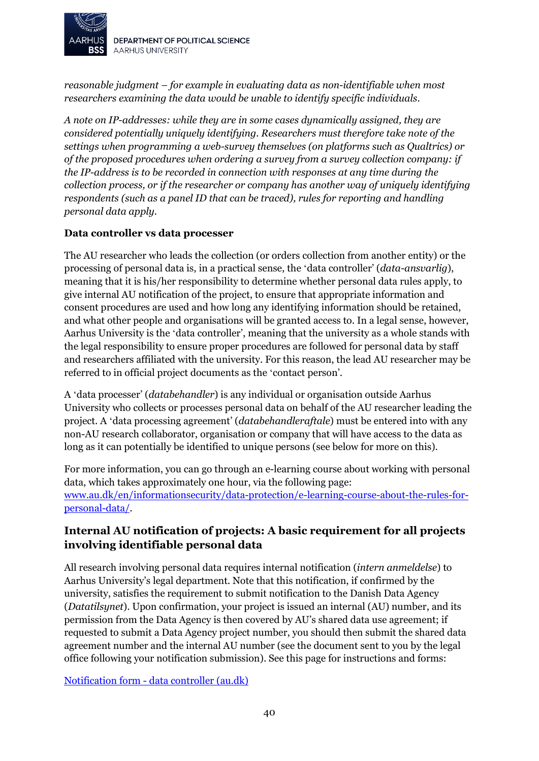

DEPARTMENT OF POLITICAL SCIENCE **AARHUS UNIVERSITY** 

*reasonable judgment – for example in evaluating data as non-identifiable when most researchers examining the data would be unable to identify specific individuals.*

*A note on IP-addresses: while they are in some cases dynamically assigned, they are considered potentially uniquely identifying. Researchers must therefore take note of the settings when programming a web-survey themselves (on platforms such as Qualtrics) or of the proposed procedures when ordering a survey from a survey collection company: if the IP-address is to be recorded in connection with responses at any time during the collection process, or if the researcher or company has another way of uniquely identifying respondents (such as a panel ID that can be traced), rules for reporting and handling personal data apply.*

#### **Data controller vs data processer**

The AU researcher who leads the collection (or orders collection from another entity) or the processing of personal data is, in a practical sense, the 'data controller' (*data-ansvarlig*), meaning that it is his/her responsibility to determine whether personal data rules apply, to give internal AU notification of the project, to ensure that appropriate information and consent procedures are used and how long any identifying information should be retained, and what other people and organisations will be granted access to. In a legal sense, however, Aarhus University is the 'data controller', meaning that the university as a whole stands with the legal responsibility to ensure proper procedures are followed for personal data by staff and researchers affiliated with the university. For this reason, the lead AU researcher may be referred to in official project documents as the 'contact person'.

A 'data processer' (*databehandler*) is any individual or organisation outside Aarhus University who collects or processes personal data on behalf of the AU researcher leading the project. A 'data processing agreement' (*databehandleraftale*) must be entered into with any non-AU research collaborator, organisation or company that will have access to the data as long as it can potentially be identified to unique persons (see below for more on this).

For more information, you can go through an e-learning course about working with personal data, which takes approximately one hour, via the following page: [www.au.dk/en/informationsecurity/data-protection/e-learning-course-about-the-rules-for](http://www.au.dk/en/informationsecurity/data-protection/e-learning-course-about-the-rules-for-personal-data/)[personal-data/.](http://www.au.dk/en/informationsecurity/data-protection/e-learning-course-about-the-rules-for-personal-data/)

### **Internal AU notification of projects: A basic requirement for all projects involving identifiable personal data**

All research involving personal data requires internal notification (*intern anmeldelse*) to Aarhus University's legal department. Note that this notification, if confirmed by the university, satisfies the requirement to submit notification to the Danish Data Agency (*Datatilsynet*). Upon confirmation, your project is issued an internal (AU) number, and its permission from the Data Agency is then covered by AU's shared data use agreement; if requested to submit a Data Agency project number, you should then submit the shared data agreement number and the internal AU number (see the document sent to you by the legal office following your notification submission). See this page for instructions and forms:

Notification form - [data controller \(au.dk\)](https://medarbejdere.au.dk/en/informationsecurity/data-protection/for-scientific-staff/register-project-to-the-record/notification-form-data-controller)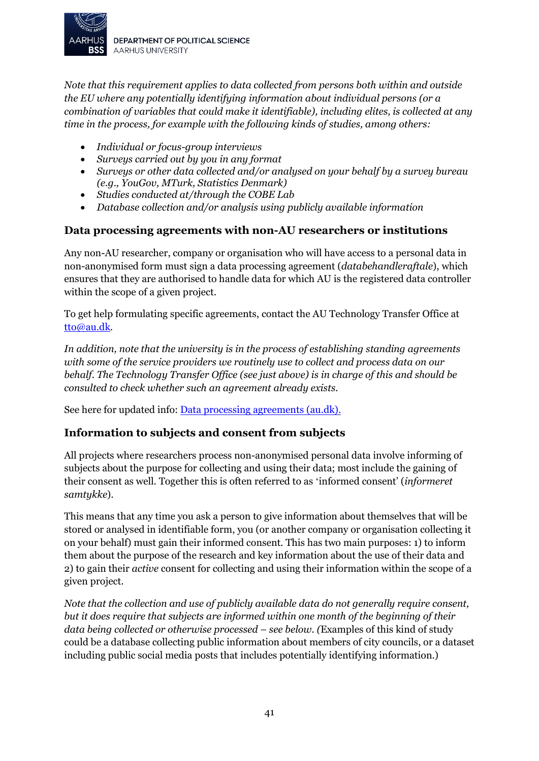

*Note that this requirement applies to data collected from persons both within and outside the EU where any potentially identifying information about individual persons (or a combination of variables that could make it identifiable), including elites, is collected at any time in the process, for example with the following kinds of studies, among others:*

- *Individual or focus-group interviews*
- *Surveys carried out by you in any format*
- *Surveys or other data collected and/or analysed on your behalf by a survey bureau (e.g., YouGov, MTurk, Statistics Denmark)*
- *Studies conducted at/through the COBE Lab*
- *Database collection and/or analysis using publicly available information*

#### **Data processing agreements with non-AU researchers or institutions**

Any non-AU researcher, company or organisation who will have access to a personal data in non-anonymised form must sign a data processing agreement (*databehandleraftale*), which ensures that they are authorised to handle data for which AU is the registered data controller within the scope of a given project.

To get help formulating specific agreements, contact the AU Technology Transfer Office at [tto@au.dk.](mailto:tto@au.dk)

*In addition, note that the university is in the process of establishing standing agreements with some of the service providers we routinely use to collect and process data on our behalf. The Technology Transfer Office (see just above) is in charge of this and should be consulted to check whether such an agreement already exists.*

See here for updated info: [Data processing agreements \(au.dk\).](https://medarbejdere.au.dk/en/informationsecurity/data-protection/for-administrative-staff-and-managers/for-system-owners/data-processing-agreements)

#### **Information to subjects and consent from subjects**

All projects where researchers process non-anonymised personal data involve informing of subjects about the purpose for collecting and using their data; most include the gaining of their consent as well. Together this is often referred to as 'informed consent' (*informeret samtykke*).

This means that any time you ask a person to give information about themselves that will be stored or analysed in identifiable form, you (or another company or organisation collecting it on your behalf) must gain their informed consent. This has two main purposes: 1) to inform them about the purpose of the research and key information about the use of their data and 2) to gain their *active* consent for collecting and using their information within the scope of a given project.

*Note that the collection and use of publicly available data do not generally require consent, but it does require that subjects are informed within one month of the beginning of their data being collected or otherwise processed – see below. (*Examples of this kind of study could be a database collecting public information about members of city councils, or a dataset including public social media posts that includes potentially identifying information.)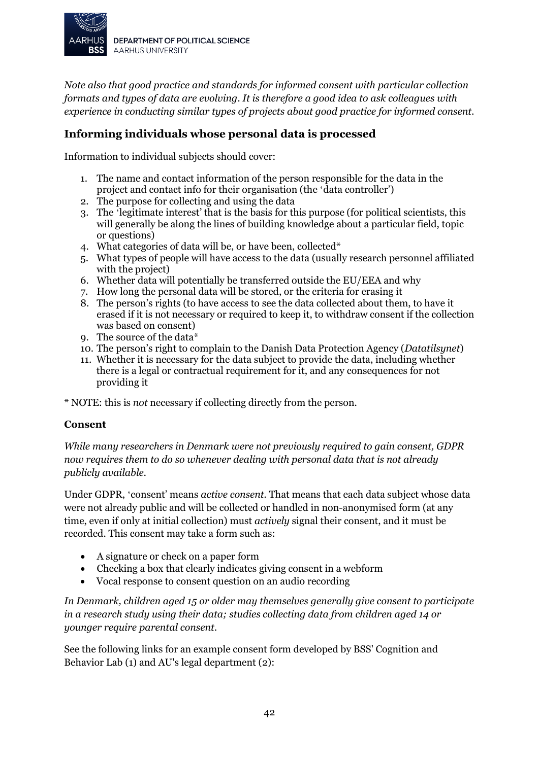

*Note also that good practice and standards for informed consent with particular collection formats and types of data are evolving. It is therefore a good idea to ask colleagues with experience in conducting similar types of projects about good practice for informed consent.* 

### **Informing individuals whose personal data is processed**

Information to individual subjects should cover:

- 1. The name and contact information of the person responsible for the data in the project and contact info for their organisation (the 'data controller')
- 2. The purpose for collecting and using the data
- 3. The 'legitimate interest' that is the basis for this purpose (for political scientists, this will generally be along the lines of building knowledge about a particular field, topic or questions)
- 4. What categories of data will be, or have been, collected\*
- 5. What types of people will have access to the data (usually research personnel affiliated with the project)
- 6. Whether data will potentially be transferred outside the EU/EEA and why
- 7. How long the personal data will be stored, or the criteria for erasing it
- 8. The person's rights (to have access to see the data collected about them, to have it erased if it is not necessary or required to keep it, to withdraw consent if the collection was based on consent)
- 9. The source of the data\*
- 10. The person's right to complain to the Danish Data Protection Agency (*Datatilsynet*)
- 11. Whether it is necessary for the data subject to provide the data, including whether there is a legal or contractual requirement for it, and any consequences for not providing it

\* NOTE: this is *not* necessary if collecting directly from the person.

#### **Consent**

*While many researchers in Denmark were not previously required to gain consent, GDPR now requires them to do so whenever dealing with personal data that is not already publicly available.*

Under GDPR, 'consent' means *active consent.* That means that each data subject whose data were not already public and will be collected or handled in non-anonymised form (at any time, even if only at initial collection) must *actively* signal their consent, and it must be recorded. This consent may take a form such as:

- A signature or check on a paper form
- Checking a box that clearly indicates giving consent in a webform
- Vocal response to consent question on an audio recording

*In Denmark, children aged 15 or older may themselves generally give consent to participate in a research study using their data; studies collecting data from children aged 14 or younger require parental consent.*

See the following links for an example consent form developed by BSS' Cognition and Behavior Lab (1) and AU's legal department (2):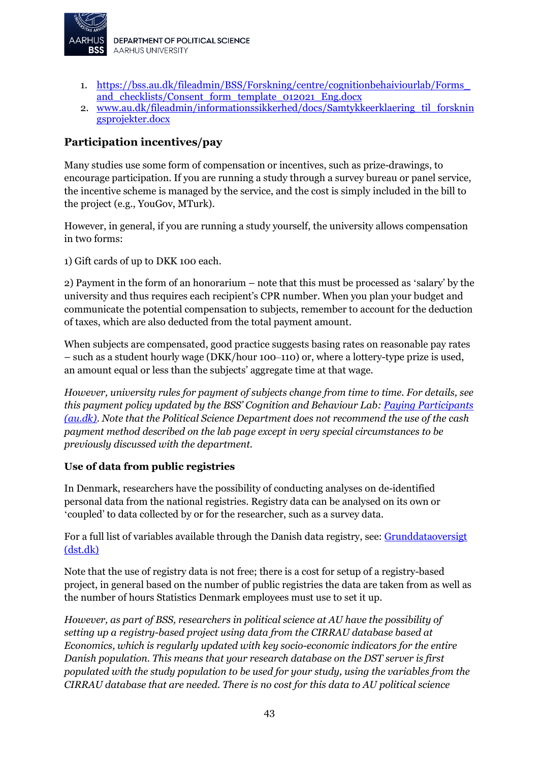

- 1. [https://bss.au.dk/fileadmin/BSS/Forskning/centre/cognitionbehaiviourlab/Forms\\_](https://bss.au.dk/fileadmin/BSS/Forskning/centre/cognitionbehaiviourlab/Forms_and_checklists/Consent_form_template_012021_Eng.docx) [and\\_checklists/Consent\\_form\\_template\\_012021\\_Eng.docx](https://bss.au.dk/fileadmin/BSS/Forskning/centre/cognitionbehaiviourlab/Forms_and_checklists/Consent_form_template_012021_Eng.docx)
- 2. [www.au.dk/fileadmin/informationssikkerhed/docs/Samtykkeerklaering\\_til\\_forsknin](http://www.au.dk/fileadmin/informationssikkerhed/docs/Samtykkeerklaering_til_forskningsprojekter.docx) [gsprojekter.docx](http://www.au.dk/fileadmin/informationssikkerhed/docs/Samtykkeerklaering_til_forskningsprojekter.docx)

### **Participation incentives/pay**

Many studies use some form of compensation or incentives, such as prize-drawings, to encourage participation. If you are running a study through a survey bureau or panel service, the incentive scheme is managed by the service, and the cost is simply included in the bill to the project (e.g., YouGov, MTurk).

However, in general, if you are running a study yourself, the university allows compensation in two forms:

1) Gift cards of up to DKK 100 each.

2) Payment in the form of an honorarium – note that this must be processed as 'salary' by the university and thus requires each recipient's CPR number. When you plan your budget and communicate the potential compensation to subjects, remember to account for the deduction of taxes, which are also deducted from the total payment amount.

When subjects are compensated, good practice suggests basing rates on reasonable pay rates – such as a student hourly wage (DKK/hour 100‒110) or, where a lottery-type prize is used, an amount equal or less than the subjects' aggregate time at that wage.

*However, university rules for payment of subjects change from time to time. For details, see this payment policy updated by the BSS' Cognition and Behaviour Lab: [Paying Participants](https://bss.au.dk/en/cognition-and-behavior-lab/for-researchers/checklist-for-new-research-projects/paying-participants)  [\(au.dk\)](https://bss.au.dk/en/cognition-and-behavior-lab/for-researchers/checklist-for-new-research-projects/paying-participants)*. *Note that the Political Science Department does not recommend the use of the cash payment method described on the lab page except in very special circumstances to be previously discussed with the department.*

#### **Use of data from public registries**

In Denmark, researchers have the possibility of conducting analyses on de-identified personal data from the national registries. Registry data can be analysed on its own or 'coupled' to data collected by or for the researcher, such as a survey data.

For a full list of variables available through the Danish data registry, see: [Grunddataoversigt](https://www.dst.dk/extranet/forskningvariabellister/Oversigt%20over%20registre.html)  [\(dst.dk\)](https://www.dst.dk/extranet/forskningvariabellister/Oversigt%20over%20registre.html)

Note that the use of registry data is not free; there is a cost for setup of a registry-based project, in general based on the number of public registries the data are taken from as well as the number of hours Statistics Denmark employees must use to set it up.

*However, as part of BSS, researchers in political science at AU have the possibility of setting up a registry-based project using data from the CIRRAU database based at Economics, which is regularly updated with key socio-economic indicators for the entire Danish population. This means that your research database on the DST server is first populated with the study population to be used for your study, using the variables from the CIRRAU database that are needed. There is no cost for this data to AU political science*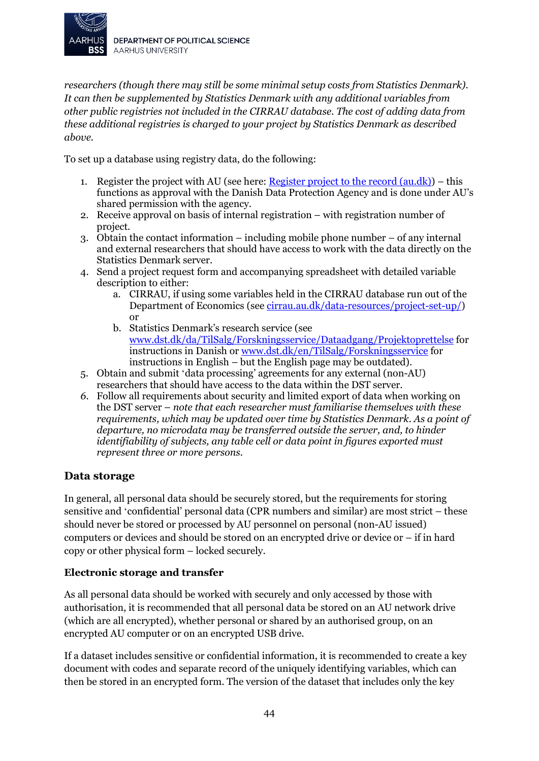

*researchers (though there may still be some minimal setup costs from Statistics Denmark). It can then be supplemented by Statistics Denmark with any additional variables from other public registries not included in the CIRRAU database. The cost of adding data from these additional registries is charged to your project by Statistics Denmark as described above.*

To set up a database using registry data, do the following:

- 1. Register the project with AU (see here: Register project to the record  $(au, dk)$ ) this functions as approval with the Danish Data Protection Agency and is done under AU's shared permission with the agency.
- 2. Receive approval on basis of internal registration with registration number of project.
- 3. Obtain the contact information including mobile phone number of any internal and external researchers that should have access to work with the data directly on the Statistics Denmark server.
- 4. Send a project request form and accompanying spreadsheet with detailed variable description to either:
	- a. CIRRAU, if using some variables held in the CIRRAU database run out of the Department of Economics (se[e cirrau.au.dk/data-resources/project-set-up/\)](http://cirrau.au.dk/data-resources/project-set-up/) or
	- b. Statistics Denmark's research service (see [www.dst.dk/da/TilSalg/Forskningsservice/Dataadgang/Projektoprettelse](http://www.dst.dk/da/TilSalg/Forskningsservice/Dataadgang/Projektoprettelse) for instructions in Danish o[r www.dst.dk/en/TilSalg/Forskningsservice](http://www.dst.dk/en/TilSalg/Forskningsservice) for instructions in English – but the English page may be outdated).
- 5. Obtain and submit 'data processing' agreements for any external (non-AU) researchers that should have access to the data within the DST server.
- *6.* Follow all requirements about security and limited export of data when working on the DST server – *note that each researcher must familiarise themselves with these requirements, which may be updated over time by Statistics Denmark. As a point of departure, no microdata may be transferred outside the server, and, to hinder identifiability of subjects, any table cell or data point in figures exported must represent three or more persons.*

#### **Data storage**

In general, all personal data should be securely stored, but the requirements for storing sensitive and 'confidential' personal data (CPR numbers and similar) are most strict – these should never be stored or processed by AU personnel on personal (non-AU issued) computers or devices and should be stored on an encrypted drive or device or – if in hard copy or other physical form – locked securely.

#### **Electronic storage and transfer**

As all personal data should be worked with securely and only accessed by those with authorisation, it is recommended that all personal data be stored on an AU network drive (which are all encrypted), whether personal or shared by an authorised group, on an encrypted AU computer or on an encrypted USB drive.

If a dataset includes sensitive or confidential information, it is recommended to create a key document with codes and separate record of the uniquely identifying variables, which can then be stored in an encrypted form. The version of the dataset that includes only the key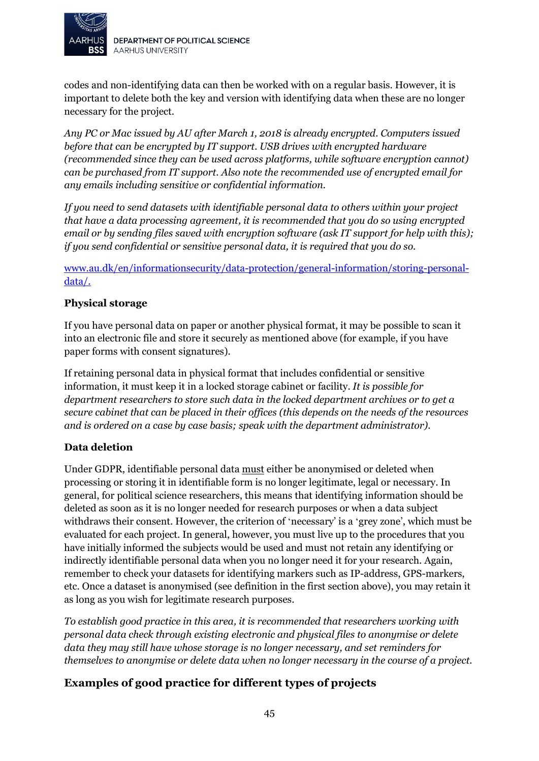

codes and non-identifying data can then be worked with on a regular basis. However, it is important to delete both the key and version with identifying data when these are no longer necessary for the project.

*Any PC or Mac issued by AU after March 1, 2018 is already encrypted. Computers issued before that can be encrypted by IT support. USB drives with encrypted hardware (recommended since they can be used across platforms, while software encryption cannot) can be purchased from IT support. Also note the recommended use of encrypted email for any emails including sensitive or confidential information.* 

*If you need to send datasets with identifiable personal data to others within your project that have a data processing agreement, it is recommended that you do so using encrypted email or by sending files saved with encryption software (ask IT support for help with this); if you send confidential or sensitive personal data, it is required that you do so.*

[www.au.dk/en/informationsecurity/data-protection/general-information/storing-personal](http://www.au.dk/en/informationsecurity/data-protection/general-information/storing-personal-data/)[data/.](http://www.au.dk/en/informationsecurity/data-protection/general-information/storing-personal-data/)

#### **Physical storage**

If you have personal data on paper or another physical format, it may be possible to scan it into an electronic file and store it securely as mentioned above (for example, if you have paper forms with consent signatures).

If retaining personal data in physical format that includes confidential or sensitive information, it must keep it in a locked storage cabinet or facility. *It is possible for department researchers to store such data in the locked department archives or to get a secure cabinet that can be placed in their offices (this depends on the needs of the resources and is ordered on a case by case basis; speak with the department administrator).*

#### **Data deletion**

Under GDPR, identifiable personal data must either be anonymised or deleted when processing or storing it in identifiable form is no longer legitimate, legal or necessary. In general, for political science researchers, this means that identifying information should be deleted as soon as it is no longer needed for research purposes or when a data subject withdraws their consent. However, the criterion of 'necessary' is a 'grey zone', which must be evaluated for each project. In general, however, you must live up to the procedures that you have initially informed the subjects would be used and must not retain any identifying or indirectly identifiable personal data when you no longer need it for your research. Again, remember to check your datasets for identifying markers such as IP-address, GPS-markers, etc. Once a dataset is anonymised (see definition in the first section above), you may retain it as long as you wish for legitimate research purposes.

*To establish good practice in this area, it is recommended that researchers working with personal data check through existing electronic and physical files to anonymise or delete data they may still have whose storage is no longer necessary, and set reminders for themselves to anonymise or delete data when no longer necessary in the course of a project.*

### **Examples of good practice for different types of projects**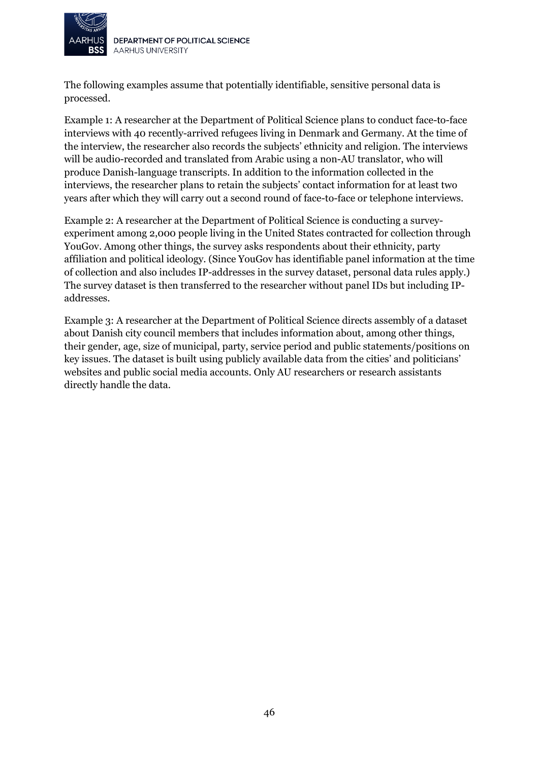

DEPARTMENT OF POLITICAL SCIENCE **AARHUS UNIVERSITY** 

The following examples assume that potentially identifiable, sensitive personal data is processed.

Example 1: A researcher at the Department of Political Science plans to conduct face-to-face interviews with 40 recently-arrived refugees living in Denmark and Germany. At the time of the interview, the researcher also records the subjects' ethnicity and religion. The interviews will be audio-recorded and translated from Arabic using a non-AU translator, who will produce Danish-language transcripts. In addition to the information collected in the interviews, the researcher plans to retain the subjects' contact information for at least two years after which they will carry out a second round of face-to-face or telephone interviews.

Example 2: A researcher at the Department of Political Science is conducting a surveyexperiment among 2,000 people living in the United States contracted for collection through YouGov. Among other things, the survey asks respondents about their ethnicity, party affiliation and political ideology. (Since YouGov has identifiable panel information at the time of collection and also includes IP-addresses in the survey dataset, personal data rules apply.) The survey dataset is then transferred to the researcher without panel IDs but including IPaddresses.

Example 3: A researcher at the Department of Political Science directs assembly of a dataset about Danish city council members that includes information about, among other things, their gender, age, size of municipal, party, service period and public statements/positions on key issues. The dataset is built using publicly available data from the cities' and politicians' websites and public social media accounts. Only AU researchers or research assistants directly handle the data.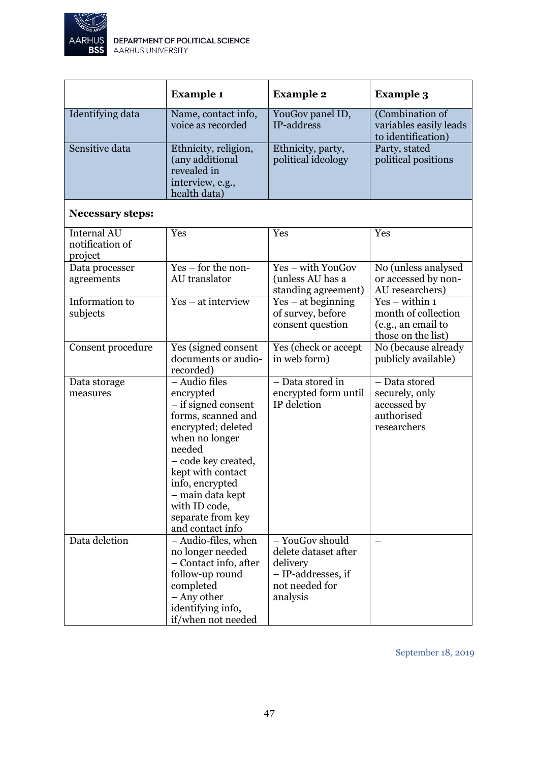

|                                                  | <b>Example 1</b>                                                                                                                                                                                                                                                         | <b>Example 2</b>                                                                                        | <b>Example 3</b>                                                                    |
|--------------------------------------------------|--------------------------------------------------------------------------------------------------------------------------------------------------------------------------------------------------------------------------------------------------------------------------|---------------------------------------------------------------------------------------------------------|-------------------------------------------------------------------------------------|
| Identifying data                                 | Name, contact info,<br>voice as recorded                                                                                                                                                                                                                                 | YouGov panel ID,<br>IP-address                                                                          | (Combination of<br>variables easily leads<br>to identification)                     |
| Sensitive data                                   | Ethnicity, religion,<br>(any additional<br>revealed in<br>interview, e.g.,<br>health data)                                                                                                                                                                               | Ethnicity, party,<br>political ideology                                                                 | Party, stated<br>political positions                                                |
| <b>Necessary steps:</b>                          |                                                                                                                                                                                                                                                                          |                                                                                                         |                                                                                     |
| <b>Internal AU</b><br>notification of<br>project | Yes                                                                                                                                                                                                                                                                      | Yes                                                                                                     | Yes                                                                                 |
| Data processer<br>agreements                     | Yes – for the non-<br>AU translator                                                                                                                                                                                                                                      | Yes - with YouGov<br>(unless AU has a<br>standing agreement)                                            | No (unless analysed<br>or accessed by non-<br>AU researchers)                       |
| Information to<br>subjects                       | $Yes - at$ interview                                                                                                                                                                                                                                                     | $Yes - at beginning$<br>of survey, before<br>consent question                                           | $Yes - within 1$<br>month of collection<br>(e.g., an email to<br>those on the list) |
| Consent procedure                                | Yes (signed consent<br>documents or audio-<br>recorded)                                                                                                                                                                                                                  | Yes (check or accept<br>in web form)                                                                    | No (because already<br>publicly available)                                          |
| Data storage<br>measures                         | $-$ Audio files<br>encrypted<br>- if signed consent<br>forms, scanned and<br>encrypted; deleted<br>when no longer<br>needed<br>- code key created,<br>kept with contact<br>info, encrypted<br>- main data kept<br>with ID code,<br>separate from key<br>and contact info | $-$ Data stored in<br>encrypted form until<br>IP deletion                                               | - Data stored<br>securely, only<br>accessed by<br>authorised<br>researchers         |
| Data deletion                                    | - Audio-files, when<br>no longer needed<br>- Contact info, after<br>follow-up round<br>completed<br>- Any other<br>identifying info,<br>if/when not needed                                                                                                               | - YouGov should<br>delete dataset after<br>delivery<br>- IP-addresses, if<br>not needed for<br>analysis |                                                                                     |

September 18, 2019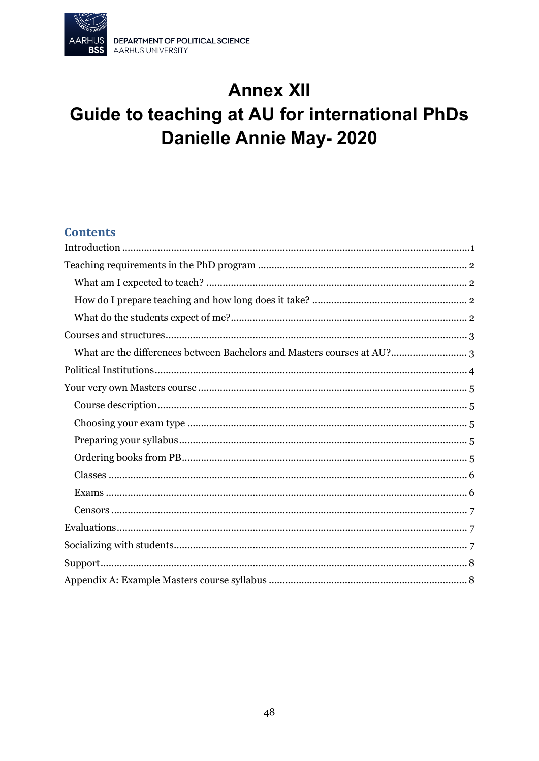

# **Annex XII** Guide to teaching at AU for international PhDs **Danielle Annie May-2020**

## **Contents**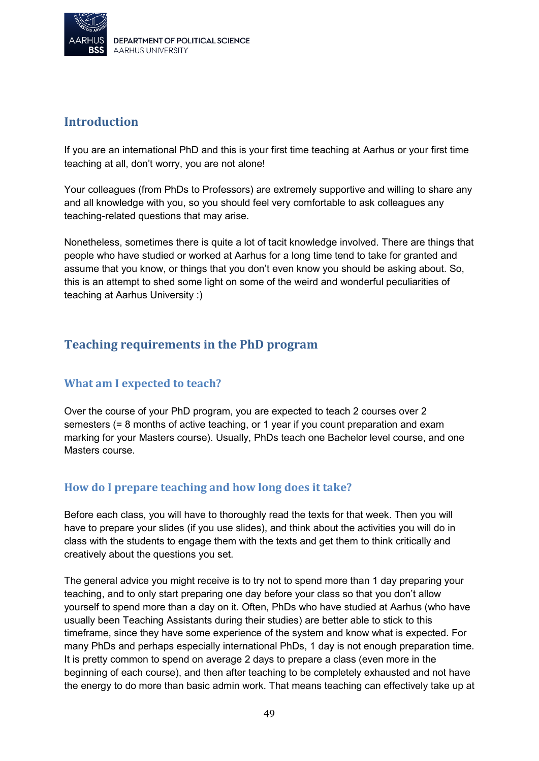

## <span id="page-48-0"></span>**Introduction**

If you are an international PhD and this is your first time teaching at Aarhus or your first time teaching at all, don't worry, you are not alone!

Your colleagues (from PhDs to Professors) are extremely supportive and willing to share any and all knowledge with you, so you should feel very comfortable to ask colleagues any teaching-related questions that may arise.

Nonetheless, sometimes there is quite a lot of tacit knowledge involved. There are things that people who have studied or worked at Aarhus for a long time tend to take for granted and assume that you know, or things that you don't even know you should be asking about. So, this is an attempt to shed some light on some of the weird and wonderful peculiarities of teaching at Aarhus University :)

# <span id="page-48-1"></span>**Teaching requirements in the PhD program**

### <span id="page-48-2"></span>**What am I expected to teach?**

Over the course of your PhD program, you are expected to teach 2 courses over 2 semesters (= 8 months of active teaching, or 1 year if you count preparation and exam marking for your Masters course). Usually, PhDs teach one Bachelor level course, and one Masters course.

### <span id="page-48-3"></span>**How do I prepare teaching and how long does it take?**

Before each class, you will have to thoroughly read the texts for that week. Then you will have to prepare your slides (if you use slides), and think about the activities you will do in class with the students to engage them with the texts and get them to think critically and creatively about the questions you set.

The general advice you might receive is to try not to spend more than 1 day preparing your teaching, and to only start preparing one day before your class so that you don't allow yourself to spend more than a day on it. Often, PhDs who have studied at Aarhus (who have usually been Teaching Assistants during their studies) are better able to stick to this timeframe, since they have some experience of the system and know what is expected. For many PhDs and perhaps especially international PhDs, 1 day is not enough preparation time. It is pretty common to spend on average 2 days to prepare a class (even more in the beginning of each course), and then after teaching to be completely exhausted and not have the energy to do more than basic admin work. That means teaching can effectively take up at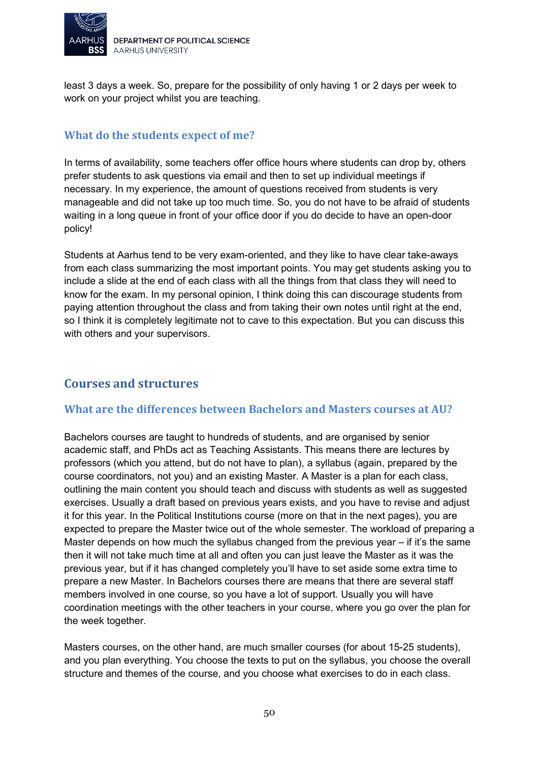

least 3 days a week. So, prepare for the possibility of only having 1 or 2 days per week to work on your project whilst you are teaching.

### <span id="page-49-0"></span>**What do the students expect of me?**

In terms of availability, some teachers offer office hours where students can drop by, others prefer students to ask questions via email and then to set up individual meetings if necessary. In my experience, the amount of questions received from students is very manageable and did not take up too much time. So, you do not have to be afraid of students waiting in a long queue in front of your office door if you do decide to have an open-door policy!

Students at Aarhus tend to be very exam-oriented, and they like to have clear take-aways from each class summarizing the most important points. You may get students asking you to include a slide at the end of each class with all the things from that class they will need to know for the exam. In my personal opinion, I think doing this can discourage students from paying attention throughout the class and from taking their own notes until right at the end, so I think it is completely legitimate not to cave to this expectation. But you can discuss this with others and your supervisors.

## <span id="page-49-1"></span>**Courses and structures**

#### <span id="page-49-2"></span>**What are the differences between Bachelors and Masters courses at AU?**

Bachelors courses are taught to hundreds of students, and are organised by senior academic staff, and PhDs act as Teaching Assistants. This means there are lectures by professors (which you attend, but do not have to plan), a syllabus (again, prepared by the course coordinators, not you) and an existing Master. A Master is a plan for each class, outlining the main content you should teach and discuss with students as well as suggested exercises. Usually a draft based on previous years exists, and you have to revise and adjust it for this year. In the Political Institutions course (more on that in the next pages), you are expected to prepare the Master twice out of the whole semester. The workload of preparing a Master depends on how much the syllabus changed from the previous year – if it's the same then it will not take much time at all and often you can just leave the Master as it was the previous year, but if it has changed completely you'll have to set aside some extra time to prepare a new Master. In Bachelors courses there are means that there are several staff members involved in one course, so you have a lot of support. Usually you will have coordination meetings with the other teachers in your course, where you go over the plan for the week together.

Masters courses, on the other hand, are much smaller courses (for about 15-25 students), and you plan everything. You choose the texts to put on the syllabus, you choose the overall structure and themes of the course, and you choose what exercises to do in each class.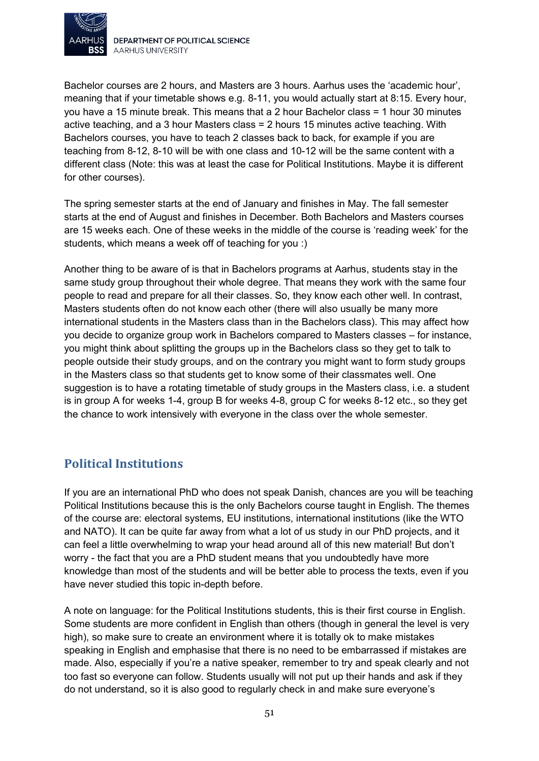

DEPARTMENT OF POLITICAL SCIENCE AARHUS UNIVERSITY

Bachelor courses are 2 hours, and Masters are 3 hours. Aarhus uses the 'academic hour', meaning that if your timetable shows e.g. 8-11, you would actually start at 8:15. Every hour, you have a 15 minute break. This means that a 2 hour Bachelor class = 1 hour 30 minutes active teaching, and a 3 hour Masters class = 2 hours 15 minutes active teaching. With Bachelors courses, you have to teach 2 classes back to back, for example if you are teaching from 8-12, 8-10 will be with one class and 10-12 will be the same content with a different class (Note: this was at least the case for Political Institutions. Maybe it is different for other courses).

The spring semester starts at the end of January and finishes in May. The fall semester starts at the end of August and finishes in December. Both Bachelors and Masters courses are 15 weeks each. One of these weeks in the middle of the course is 'reading week' for the students, which means a week off of teaching for you :)

Another thing to be aware of is that in Bachelors programs at Aarhus, students stay in the same study group throughout their whole degree. That means they work with the same four people to read and prepare for all their classes. So, they know each other well. In contrast, Masters students often do not know each other (there will also usually be many more international students in the Masters class than in the Bachelors class). This may affect how you decide to organize group work in Bachelors compared to Masters classes – for instance, you might think about splitting the groups up in the Bachelors class so they get to talk to people outside their study groups, and on the contrary you might want to form study groups in the Masters class so that students get to know some of their classmates well. One suggestion is to have a rotating timetable of study groups in the Masters class, i.e. a student is in group A for weeks 1-4, group B for weeks 4-8, group C for weeks 8-12 etc., so they get the chance to work intensively with everyone in the class over the whole semester.

# <span id="page-50-0"></span>**Political Institutions**

If you are an international PhD who does not speak Danish, chances are you will be teaching Political Institutions because this is the only Bachelors course taught in English. The themes of the course are: electoral systems, EU institutions, international institutions (like the WTO and NATO). It can be quite far away from what a lot of us study in our PhD projects, and it can feel a little overwhelming to wrap your head around all of this new material! But don't worry - the fact that you are a PhD student means that you undoubtedly have more knowledge than most of the students and will be better able to process the texts, even if you have never studied this topic in-depth before.

A note on language: for the Political Institutions students, this is their first course in English. Some students are more confident in English than others (though in general the level is very high), so make sure to create an environment where it is totally ok to make mistakes speaking in English and emphasise that there is no need to be embarrassed if mistakes are made. Also, especially if you're a native speaker, remember to try and speak clearly and not too fast so everyone can follow. Students usually will not put up their hands and ask if they do not understand, so it is also good to regularly check in and make sure everyone's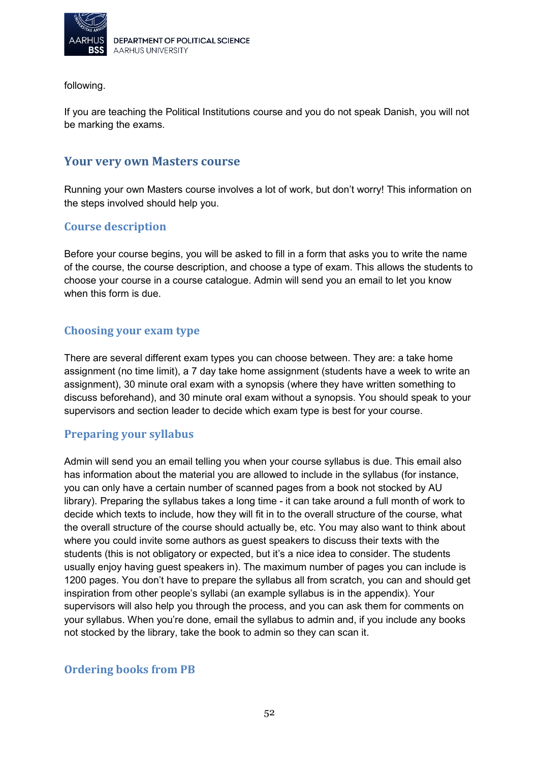

following.

If you are teaching the Political Institutions course and you do not speak Danish, you will not be marking the exams.

#### <span id="page-51-0"></span>**Your very own Masters course**

Running your own Masters course involves a lot of work, but don't worry! This information on the steps involved should help you.

#### <span id="page-51-1"></span>**Course description**

Before your course begins, you will be asked to fill in a form that asks you to write the name of the course, the course description, and choose a type of exam. This allows the students to choose your course in a course catalogue. Admin will send you an email to let you know when this form is due.

#### <span id="page-51-2"></span>**Choosing your exam type**

There are several different exam types you can choose between. They are: a take home assignment (no time limit), a 7 day take home assignment (students have a week to write an assignment), 30 minute oral exam with a synopsis (where they have written something to discuss beforehand), and 30 minute oral exam without a synopsis. You should speak to your supervisors and section leader to decide which exam type is best for your course.

#### <span id="page-51-3"></span>**Preparing your syllabus**

Admin will send you an email telling you when your course syllabus is due. This email also has information about the material you are allowed to include in the syllabus (for instance, you can only have a certain number of scanned pages from a book not stocked by AU library). Preparing the syllabus takes a long time - it can take around a full month of work to decide which texts to include, how they will fit in to the overall structure of the course, what the overall structure of the course should actually be, etc. You may also want to think about where you could invite some authors as guest speakers to discuss their texts with the students (this is not obligatory or expected, but it's a nice idea to consider. The students usually enjoy having guest speakers in). The maximum number of pages you can include is 1200 pages. You don't have to prepare the syllabus all from scratch, you can and should get inspiration from other people's syllabi (an example syllabus is in the appendix). Your supervisors will also help you through the process, and you can ask them for comments on your syllabus. When you're done, email the syllabus to admin and, if you include any books not stocked by the library, take the book to admin so they can scan it.

#### <span id="page-51-4"></span>**Ordering books from PB**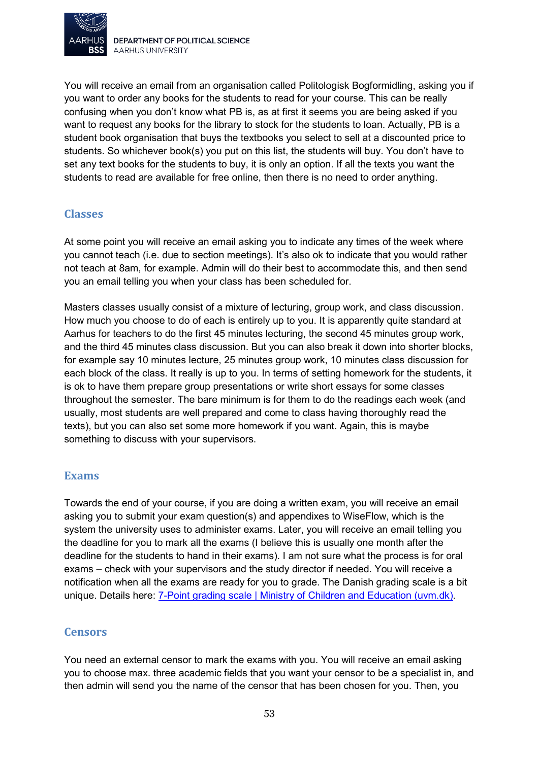

You will receive an email from an organisation called Politologisk Bogformidling, asking you if you want to order any books for the students to read for your course. This can be really confusing when you don't know what PB is, as at first it seems you are being asked if you want to request any books for the library to stock for the students to loan. Actually, PB is a student book organisation that buys the textbooks you select to sell at a discounted price to students. So whichever book(s) you put on this list, the students will buy. You don't have to set any text books for the students to buy, it is only an option. If all the texts you want the students to read are available for free online, then there is no need to order anything.

#### <span id="page-52-0"></span>**Classes**

At some point you will receive an email asking you to indicate any times of the week where you cannot teach (i.e. due to section meetings). It's also ok to indicate that you would rather not teach at 8am, for example. Admin will do their best to accommodate this, and then send you an email telling you when your class has been scheduled for.

Masters classes usually consist of a mixture of lecturing, group work, and class discussion. How much you choose to do of each is entirely up to you. It is apparently quite standard at Aarhus for teachers to do the first 45 minutes lecturing, the second 45 minutes group work, and the third 45 minutes class discussion. But you can also break it down into shorter blocks, for example say 10 minutes lecture, 25 minutes group work, 10 minutes class discussion for each block of the class. It really is up to you. In terms of setting homework for the students, it is ok to have them prepare group presentations or write short essays for some classes throughout the semester. The bare minimum is for them to do the readings each week (and usually, most students are well prepared and come to class having thoroughly read the texts), but you can also set some more homework if you want. Again, this is maybe something to discuss with your supervisors.

#### <span id="page-52-1"></span>**Exams**

Towards the end of your course, if you are doing a written exam, you will receive an email asking you to submit your exam question(s) and appendixes to WiseFlow, which is the system the university uses to administer exams. Later, you will receive an email telling you the deadline for you to mark all the exams (I believe this is usually one month after the deadline for the students to hand in their exams). I am not sure what the process is for oral exams – check with your supervisors and the study director if needed. You will receive a notification when all the exams are ready for you to grade. The Danish grading scale is a bit unique. Details here: [7-Point grading scale | Ministry of Children and Education \(uvm.dk\).](https://eng.uvm.dk/primary-and-lower-secondary-education/the-folkeskole/7-point-grading-scale)

#### <span id="page-52-2"></span>**Censors**

You need an external censor to mark the exams with you. You will receive an email asking you to choose max. three academic fields that you want your censor to be a specialist in, and then admin will send you the name of the censor that has been chosen for you. Then, you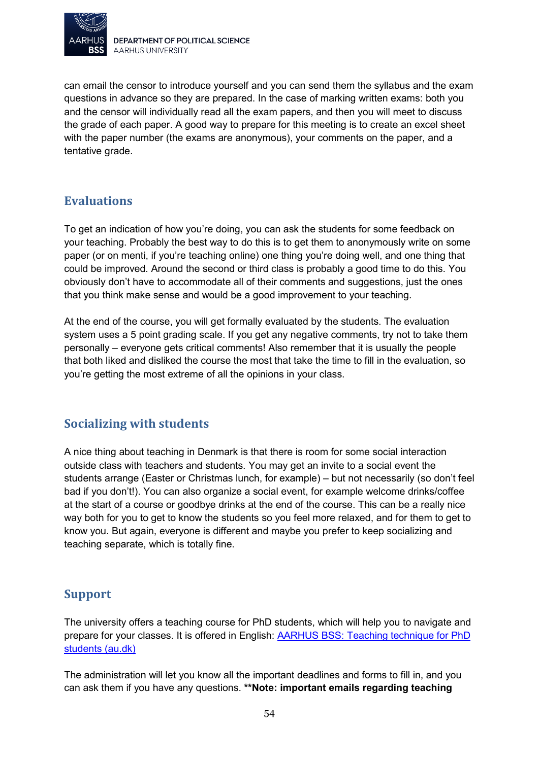

can email the censor to introduce yourself and you can send them the syllabus and the exam questions in advance so they are prepared. In the case of marking written exams: both you and the censor will individually read all the exam papers, and then you will meet to discuss the grade of each paper. A good way to prepare for this meeting is to create an excel sheet with the paper number (the exams are anonymous), your comments on the paper, and a tentative grade.

## <span id="page-53-0"></span>**Evaluations**

To get an indication of how you're doing, you can ask the students for some feedback on your teaching. Probably the best way to do this is to get them to anonymously write on some paper (or on menti, if you're teaching online) one thing you're doing well, and one thing that could be improved. Around the second or third class is probably a good time to do this. You obviously don't have to accommodate all of their comments and suggestions, just the ones that you think make sense and would be a good improvement to your teaching.

At the end of the course, you will get formally evaluated by the students. The evaluation system uses a 5 point grading scale. If you get any negative comments, try not to take them personally – everyone gets critical comments! Also remember that it is usually the people that both liked and disliked the course the most that take the time to fill in the evaluation, so you're getting the most extreme of all the opinions in your class.

# <span id="page-53-1"></span>**Socializing with students**

A nice thing about teaching in Denmark is that there is room for some social interaction outside class with teachers and students. You may get an invite to a social event the students arrange (Easter or Christmas lunch, for example) – but not necessarily (so don't feel bad if you don't!). You can also organize a social event, for example welcome drinks/coffee at the start of a course or goodbye drinks at the end of the course. This can be a really nice way both for you to get to know the students so you feel more relaxed, and for them to get to know you. But again, everyone is different and maybe you prefer to keep socializing and teaching separate, which is totally fine.

### <span id="page-53-2"></span>**Support**

The university offers a teaching course for PhD students, which will help you to navigate and prepare for your classes. It is offered in English: [AARHUS BSS: Teaching technique for PhD](https://ced.au.dk/en/courses/aarhus-bss-teaching-technique-for-phd-students)  [students \(au.dk\)](https://ced.au.dk/en/courses/aarhus-bss-teaching-technique-for-phd-students)

The administration will let you know all the important deadlines and forms to fill in, and you can ask them if you have any questions. **\*\*Note: important emails regarding teaching**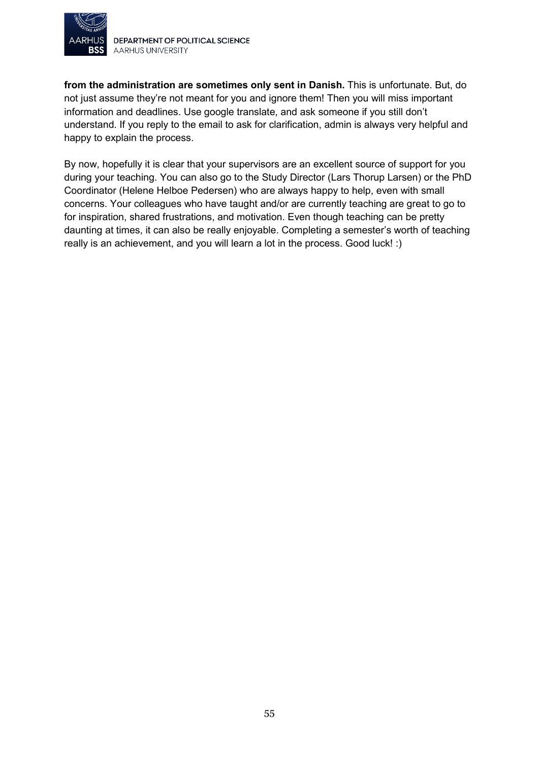

**from the administration are sometimes only sent in Danish.** This is unfortunate. But, do not just assume they're not meant for you and ignore them! Then you will miss important information and deadlines. Use google translate, and ask someone if you still don't understand. If you reply to the email to ask for clarification, admin is always very helpful and happy to explain the process.

By now, hopefully it is clear that your supervisors are an excellent source of support for you during your teaching. You can also go to the Study Director (Lars Thorup Larsen) or the PhD Coordinator (Helene Helboe Pedersen) who are always happy to help, even with small concerns. Your colleagues who have taught and/or are currently teaching are great to go to for inspiration, shared frustrations, and motivation. Even though teaching can be pretty daunting at times, it can also be really enjoyable. Completing a semester's worth of teaching really is an achievement, and you will learn a lot in the process. Good luck! :)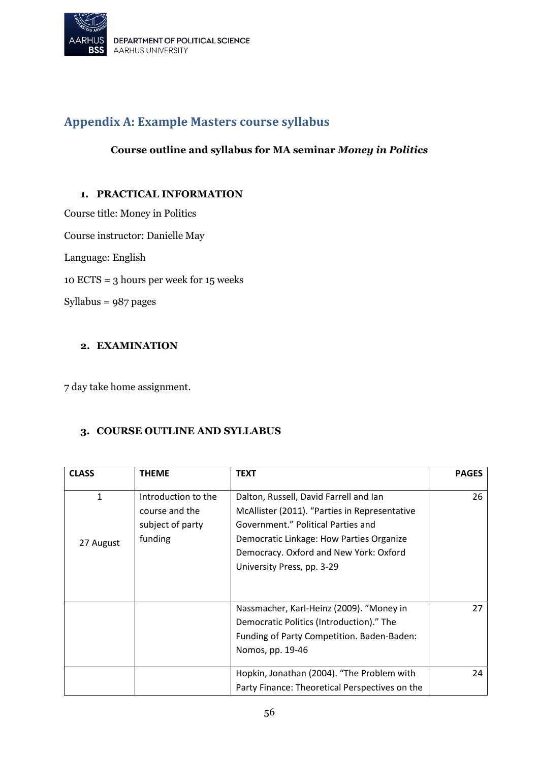

# <span id="page-55-0"></span>**Appendix A: Example Masters course syllabus**

#### **Course outline and syllabus for MA seminar** *Money in Politics*

#### **1. PRACTICAL INFORMATION**

Course title: Money in Politics Course instructor: Danielle May Language: English 10 ECTS = 3 hours per week for 15 weeks Syllabus = 987 pages

#### **2. EXAMINATION**

7 day take home assignment.

#### **3. COURSE OUTLINE AND SYLLABUS**

| <b>CLASS</b> | <b>THEME</b>        | <b>TEXT</b>                                    | <b>PAGES</b> |
|--------------|---------------------|------------------------------------------------|--------------|
|              | Introduction to the |                                                |              |
| 1            |                     | Dalton, Russell, David Farrell and Ian         | 26           |
|              | course and the      | McAllister (2011). "Parties in Representative  |              |
|              | subject of party    | Government." Political Parties and             |              |
| 27 August    | funding             | Democratic Linkage: How Parties Organize       |              |
|              |                     | Democracy. Oxford and New York: Oxford         |              |
|              |                     | University Press, pp. 3-29                     |              |
|              |                     |                                                |              |
|              |                     |                                                |              |
|              |                     | Nassmacher, Karl-Heinz (2009). "Money in       | 27           |
|              |                     | Democratic Politics (Introduction)." The       |              |
|              |                     | Funding of Party Competition. Baden-Baden:     |              |
|              |                     | Nomos, pp. 19-46                               |              |
|              |                     |                                                |              |
|              |                     | Hopkin, Jonathan (2004). "The Problem with     | 24           |
|              |                     | Party Finance: Theoretical Perspectives on the |              |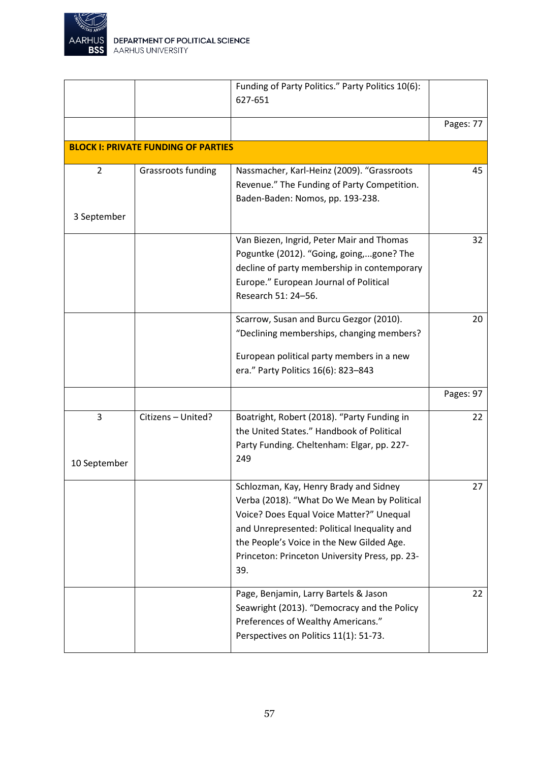

|                   |                                            | Funding of Party Politics." Party Politics 10(6):<br>627-651                                                                                                                                                                                                                           |           |
|-------------------|--------------------------------------------|----------------------------------------------------------------------------------------------------------------------------------------------------------------------------------------------------------------------------------------------------------------------------------------|-----------|
|                   |                                            |                                                                                                                                                                                                                                                                                        | Pages: 77 |
|                   | <b>BLOCK I: PRIVATE FUNDING OF PARTIES</b> |                                                                                                                                                                                                                                                                                        |           |
| $\overline{2}$    | Grassroots funding                         | Nassmacher, Karl-Heinz (2009). "Grassroots<br>Revenue." The Funding of Party Competition.<br>Baden-Baden: Nomos, pp. 193-238.                                                                                                                                                          | 45        |
| 3 September       |                                            |                                                                                                                                                                                                                                                                                        |           |
|                   |                                            | Van Biezen, Ingrid, Peter Mair and Thomas<br>Poguntke (2012). "Going, going,gone? The<br>decline of party membership in contemporary<br>Europe." European Journal of Political<br>Research 51: 24-56.                                                                                  | 32        |
|                   |                                            | Scarrow, Susan and Burcu Gezgor (2010).<br>"Declining memberships, changing members?<br>European political party members in a new<br>era." Party Politics 16(6): 823-843                                                                                                               | 20        |
|                   |                                            |                                                                                                                                                                                                                                                                                        | Pages: 97 |
| 3<br>10 September | Citizens - United?                         | Boatright, Robert (2018). "Party Funding in<br>the United States." Handbook of Political<br>Party Funding. Cheltenham: Elgar, pp. 227-<br>249                                                                                                                                          | 22        |
|                   |                                            | Schlozman, Kay, Henry Brady and Sidney<br>Verba (2018). "What Do We Mean by Political<br>Voice? Does Equal Voice Matter?" Unequal<br>and Unrepresented: Political Inequality and<br>the People's Voice in the New Gilded Age.<br>Princeton: Princeton University Press, pp. 23-<br>39. | 27        |
|                   |                                            | Page, Benjamin, Larry Bartels & Jason<br>Seawright (2013). "Democracy and the Policy<br>Preferences of Wealthy Americans."<br>Perspectives on Politics 11(1): 51-73.                                                                                                                   | 22        |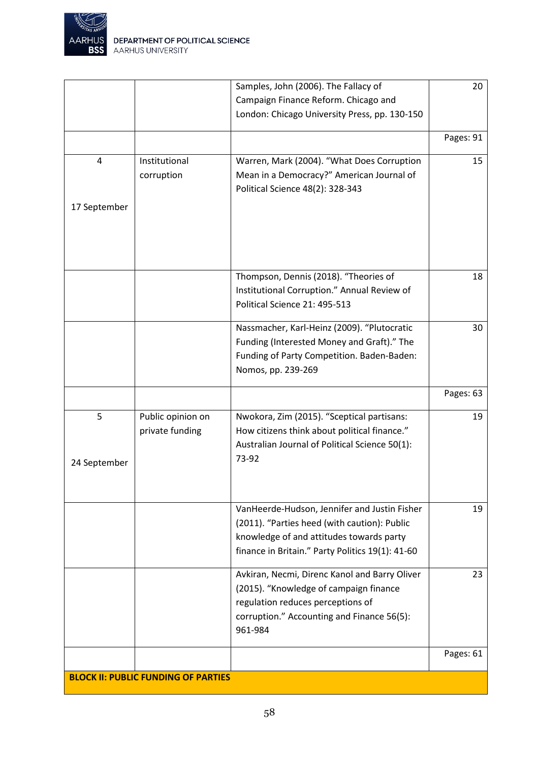

|              |                                            | Samples, John (2006). The Fallacy of             | 20        |
|--------------|--------------------------------------------|--------------------------------------------------|-----------|
|              |                                            | Campaign Finance Reform. Chicago and             |           |
|              |                                            | London: Chicago University Press, pp. 130-150    |           |
|              |                                            |                                                  |           |
|              |                                            |                                                  | Pages: 91 |
| 4            | Institutional                              | Warren, Mark (2004). "What Does Corruption       | 15        |
|              | corruption                                 | Mean in a Democracy?" American Journal of        |           |
|              |                                            | Political Science 48(2): 328-343                 |           |
| 17 September |                                            |                                                  |           |
|              |                                            |                                                  |           |
|              |                                            |                                                  |           |
|              |                                            |                                                  |           |
|              |                                            |                                                  |           |
|              |                                            | Thompson, Dennis (2018). "Theories of            | 18        |
|              |                                            | Institutional Corruption." Annual Review of      |           |
|              |                                            | Political Science 21: 495-513                    |           |
|              |                                            |                                                  |           |
|              |                                            | Nassmacher, Karl-Heinz (2009). "Plutocratic      | 30        |
|              |                                            | Funding (Interested Money and Graft)." The       |           |
|              |                                            | Funding of Party Competition. Baden-Baden:       |           |
|              |                                            | Nomos, pp. 239-269                               |           |
|              |                                            |                                                  | Pages: 63 |
| 5            | Public opinion on                          | Nwokora, Zim (2015). "Sceptical partisans:       | 19        |
|              | private funding                            | How citizens think about political finance."     |           |
|              |                                            | Australian Journal of Political Science 50(1):   |           |
|              |                                            | 73-92                                            |           |
| 24 September |                                            |                                                  |           |
|              |                                            |                                                  |           |
|              |                                            |                                                  |           |
|              |                                            | VanHeerde-Hudson, Jennifer and Justin Fisher     | 19        |
|              |                                            | (2011). "Parties heed (with caution): Public     |           |
|              |                                            | knowledge of and attitudes towards party         |           |
|              |                                            | finance in Britain." Party Politics 19(1): 41-60 |           |
|              |                                            | Avkiran, Necmi, Direnc Kanol and Barry Oliver    | 23        |
|              |                                            | (2015). "Knowledge of campaign finance           |           |
|              |                                            | regulation reduces perceptions of                |           |
|              |                                            | corruption." Accounting and Finance 56(5):       |           |
|              |                                            | 961-984                                          |           |
|              |                                            |                                                  | Pages: 61 |
|              |                                            |                                                  |           |
|              | <b>BLOCK II: PUBLIC FUNDING OF PARTIES</b> |                                                  |           |
|              |                                            |                                                  |           |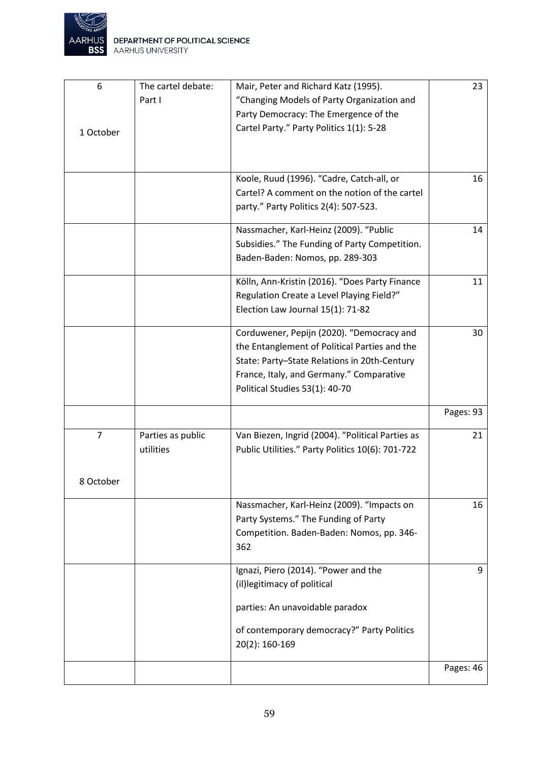

| 6              | The cartel debate: | Mair, Peter and Richard Katz (1995).             | 23        |
|----------------|--------------------|--------------------------------------------------|-----------|
|                | Part I             | "Changing Models of Party Organization and       |           |
|                |                    | Party Democracy: The Emergence of the            |           |
| 1 October      |                    | Cartel Party." Party Politics 1(1): 5-28         |           |
|                |                    |                                                  |           |
|                |                    |                                                  |           |
|                |                    | Koole, Ruud (1996). "Cadre, Catch-all, or        | 16        |
|                |                    | Cartel? A comment on the notion of the cartel    |           |
|                |                    | party." Party Politics 2(4): 507-523.            |           |
|                |                    |                                                  |           |
|                |                    | Nassmacher, Karl-Heinz (2009). "Public           | 14        |
|                |                    | Subsidies." The Funding of Party Competition.    |           |
|                |                    | Baden-Baden: Nomos, pp. 289-303                  |           |
|                |                    |                                                  |           |
|                |                    | Kölln, Ann-Kristin (2016). "Does Party Finance   | 11        |
|                |                    | Regulation Create a Level Playing Field?"        |           |
|                |                    | Election Law Journal 15(1): 71-82                |           |
|                |                    |                                                  |           |
|                |                    | Corduwener, Pepijn (2020). "Democracy and        | 30        |
|                |                    | the Entanglement of Political Parties and the    |           |
|                |                    | State: Party-State Relations in 20th-Century     |           |
|                |                    | France, Italy, and Germany." Comparative         |           |
|                |                    | Political Studies 53(1): 40-70                   |           |
|                |                    |                                                  | Pages: 93 |
|                |                    |                                                  |           |
| $\overline{7}$ | Parties as public  | Van Biezen, Ingrid (2004). "Political Parties as | 21        |
|                | utilities          | Public Utilities." Party Politics 10(6): 701-722 |           |
|                |                    |                                                  |           |
| 8 October      |                    |                                                  |           |
|                |                    | Nassmacher, Karl-Heinz (2009). "Impacts on       | 16        |
|                |                    | Party Systems." The Funding of Party             |           |
|                |                    | Competition. Baden-Baden: Nomos, pp. 346-        |           |
|                |                    | 362                                              |           |
|                |                    |                                                  |           |
|                |                    | Ignazi, Piero (2014). "Power and the             | 9         |
|                |                    | (il) legitimacy of political                     |           |
|                |                    |                                                  |           |
|                |                    | parties: An unavoidable paradox                  |           |
|                |                    | of contemporary democracy?" Party Politics       |           |
|                |                    | 20(2): 160-169                                   |           |
|                |                    |                                                  |           |
|                |                    |                                                  | Pages: 46 |
|                |                    |                                                  |           |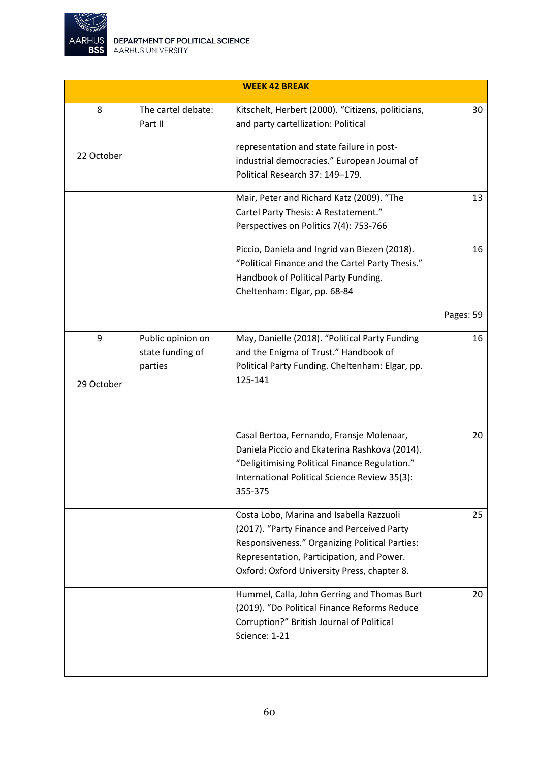

|            |                    | <b>WEEK 42 BREAK</b>                               |           |
|------------|--------------------|----------------------------------------------------|-----------|
| 8          | The cartel debate: | Kitschelt, Herbert (2000). "Citizens, politicians, | 30        |
|            | Part II            | and party cartellization: Political                |           |
|            |                    | representation and state failure in post-          |           |
| 22 October |                    | industrial democracies." European Journal of       |           |
|            |                    | Political Research 37: 149-179.                    |           |
|            |                    | Mair, Peter and Richard Katz (2009). "The          | 13        |
|            |                    | Cartel Party Thesis: A Restatement."               |           |
|            |                    | Perspectives on Politics 7(4): 753-766             |           |
|            |                    | Piccio, Daniela and Ingrid van Biezen (2018).      | 16        |
|            |                    | "Political Finance and the Cartel Party Thesis."   |           |
|            |                    | Handbook of Political Party Funding.               |           |
|            |                    | Cheltenham: Elgar, pp. 68-84                       |           |
|            |                    |                                                    | Pages: 59 |
| 9          | Public opinion on  | May, Danielle (2018). "Political Party Funding     | 16        |
|            | state funding of   | and the Enigma of Trust." Handbook of              |           |
|            | parties            | Political Party Funding. Cheltenham: Elgar, pp.    |           |
| 29 October |                    | 125-141                                            |           |
|            |                    |                                                    |           |
|            |                    |                                                    |           |
|            |                    | Casal Bertoa, Fernando, Fransje Molenaar,          | 20        |
|            |                    | Daniela Piccio and Ekaterina Rashkova (2014).      |           |
|            |                    | "Deligitimising Political Finance Regulation."     |           |
|            |                    | International Political Science Review 35(3):      |           |
|            |                    | 355-375                                            |           |
|            |                    |                                                    |           |
|            |                    | Costa Lobo, Marina and Isabella Razzuoli           | 25        |
|            |                    | (2017). "Party Finance and Perceived Party         |           |
|            |                    | Responsiveness." Organizing Political Parties:     |           |
|            |                    | Representation, Participation, and Power.          |           |
|            |                    | Oxford: Oxford University Press, chapter 8.        |           |
|            |                    | Hummel, Calla, John Gerring and Thomas Burt        | 20        |
|            |                    | (2019). "Do Political Finance Reforms Reduce       |           |
|            |                    | Corruption?" British Journal of Political          |           |
|            |                    | Science: 1-21                                      |           |
|            |                    |                                                    |           |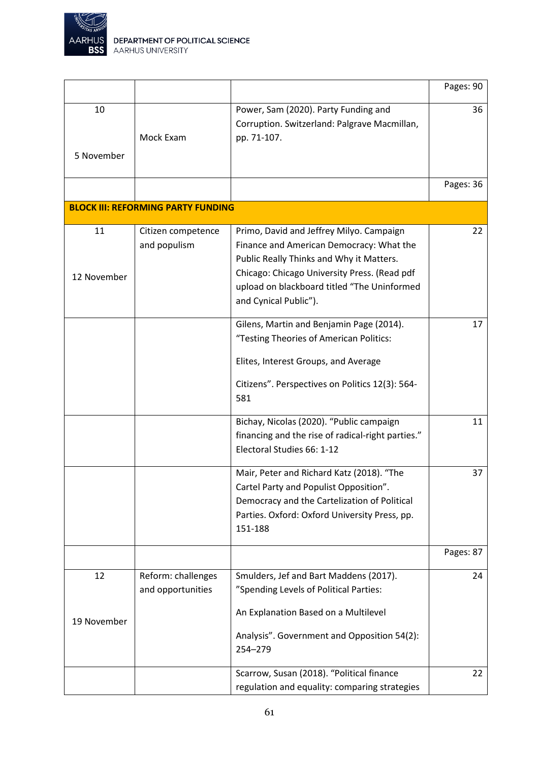

|                   |                                           |                                                                                                                                                                                                                                                          | Pages: 90 |
|-------------------|-------------------------------------------|----------------------------------------------------------------------------------------------------------------------------------------------------------------------------------------------------------------------------------------------------------|-----------|
| 10<br>5 November  | Mock Exam                                 | Power, Sam (2020). Party Funding and<br>Corruption. Switzerland: Palgrave Macmillan,<br>pp. 71-107.                                                                                                                                                      | 36        |
|                   |                                           |                                                                                                                                                                                                                                                          | Pages: 36 |
|                   | <b>BLOCK III: REFORMING PARTY FUNDING</b> |                                                                                                                                                                                                                                                          |           |
| 11<br>12 November | Citizen competence<br>and populism        | Primo, David and Jeffrey Milyo. Campaign<br>Finance and American Democracy: What the<br>Public Really Thinks and Why it Matters.<br>Chicago: Chicago University Press. (Read pdf<br>upload on blackboard titled "The Uninformed<br>and Cynical Public"). | 22        |
|                   |                                           | Gilens, Martin and Benjamin Page (2014).<br>"Testing Theories of American Politics:<br>Elites, Interest Groups, and Average<br>Citizens". Perspectives on Politics 12(3): 564-<br>581                                                                    | 17        |
|                   |                                           | Bichay, Nicolas (2020). "Public campaign<br>financing and the rise of radical-right parties."<br>Electoral Studies 66: 1-12                                                                                                                              | 11        |
|                   |                                           | Mair, Peter and Richard Katz (2018). "The<br>Cartel Party and Populist Opposition".<br>Democracy and the Cartelization of Political<br>Parties. Oxford: Oxford University Press, pp.<br>151-188                                                          | 37        |
|                   |                                           |                                                                                                                                                                                                                                                          | Pages: 87 |
| 12<br>19 November | Reform: challenges<br>and opportunities   | Smulders, Jef and Bart Maddens (2017).<br>"Spending Levels of Political Parties:<br>An Explanation Based on a Multilevel<br>Analysis". Government and Opposition 54(2):<br>254-279                                                                       | 24        |
|                   |                                           | Scarrow, Susan (2018). "Political finance<br>regulation and equality: comparing strategies                                                                                                                                                               | 22        |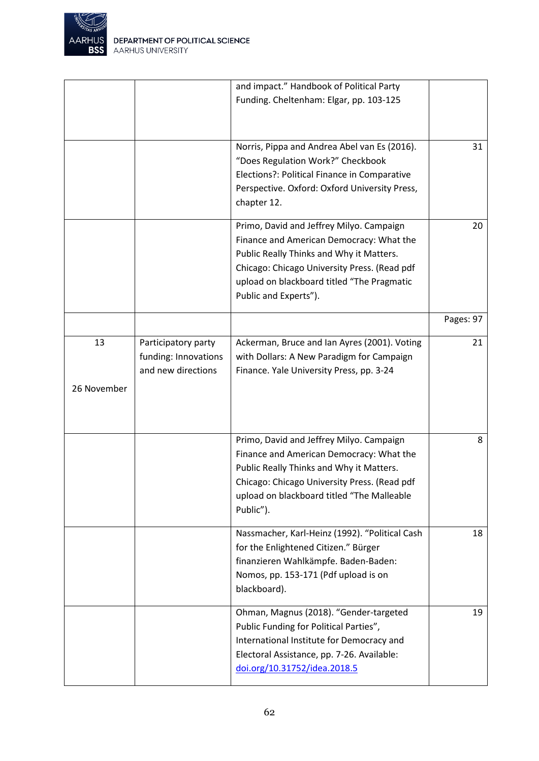

|             |                      | and impact." Handbook of Political Party       |           |
|-------------|----------------------|------------------------------------------------|-----------|
|             |                      | Funding. Cheltenham: Elgar, pp. 103-125        |           |
|             |                      |                                                |           |
|             |                      |                                                |           |
|             |                      |                                                |           |
|             |                      | Norris, Pippa and Andrea Abel van Es (2016).   | 31        |
|             |                      | "Does Regulation Work?" Checkbook              |           |
|             |                      | Elections?: Political Finance in Comparative   |           |
|             |                      |                                                |           |
|             |                      | Perspective. Oxford: Oxford University Press,  |           |
|             |                      | chapter 12.                                    |           |
|             |                      | Primo, David and Jeffrey Milyo. Campaign       | 20        |
|             |                      |                                                |           |
|             |                      | Finance and American Democracy: What the       |           |
|             |                      | Public Really Thinks and Why it Matters.       |           |
|             |                      | Chicago: Chicago University Press. (Read pdf   |           |
|             |                      | upload on blackboard titled "The Pragmatic     |           |
|             |                      | Public and Experts").                          |           |
|             |                      |                                                |           |
|             |                      |                                                | Pages: 97 |
| 13          | Participatory party  | Ackerman, Bruce and Ian Ayres (2001). Voting   | 21        |
|             | funding: Innovations | with Dollars: A New Paradigm for Campaign      |           |
|             | and new directions   |                                                |           |
|             |                      | Finance. Yale University Press, pp. 3-24       |           |
| 26 November |                      |                                                |           |
|             |                      |                                                |           |
|             |                      |                                                |           |
|             |                      |                                                |           |
|             |                      | Primo, David and Jeffrey Milyo. Campaign       | 8         |
|             |                      | Finance and American Democracy: What the       |           |
|             |                      | Public Really Thinks and Why it Matters.       |           |
|             |                      | Chicago: Chicago University Press. (Read pdf   |           |
|             |                      | upload on blackboard titled "The Malleable     |           |
|             |                      |                                                |           |
|             |                      | Public").                                      |           |
|             |                      | Nassmacher, Karl-Heinz (1992). "Political Cash | 18        |
|             |                      | for the Enlightened Citizen." Bürger           |           |
|             |                      |                                                |           |
|             |                      | finanzieren Wahlkämpfe. Baden-Baden:           |           |
|             |                      | Nomos, pp. 153-171 (Pdf upload is on           |           |
|             |                      | blackboard).                                   |           |
|             |                      | Ohman, Magnus (2018). "Gender-targeted         | 19        |
|             |                      |                                                |           |
|             |                      | Public Funding for Political Parties",         |           |
|             |                      | International Institute for Democracy and      |           |
|             |                      | Electoral Assistance, pp. 7-26. Available:     |           |
|             |                      | doi.org/10.31752/idea.2018.5                   |           |
|             |                      |                                                |           |